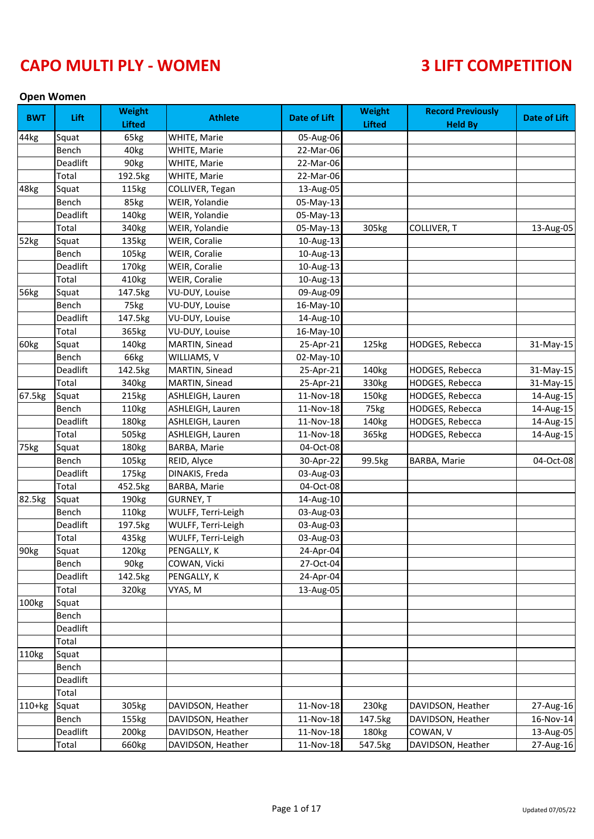### **Open Women**

| <b>BWT</b> | Lift     | <b>Weight</b><br><b>Lifted</b> | <b>Athlete</b>      | <b>Date of Lift</b> | <b>Weight</b><br><b>Lifted</b> | <b>Record Previously</b><br><b>Held By</b> | <b>Date of Lift</b> |
|------------|----------|--------------------------------|---------------------|---------------------|--------------------------------|--------------------------------------------|---------------------|
| 44kg       | Squat    | 65kg                           | WHITE, Marie        | 05-Aug-06           |                                |                                            |                     |
|            | Bench    | 40 <sub>kg</sub>               | WHITE, Marie        | 22-Mar-06           |                                |                                            |                     |
|            | Deadlift | 90kg                           | WHITE, Marie        | 22-Mar-06           |                                |                                            |                     |
|            | Total    | 192.5kg                        | WHITE, Marie        | 22-Mar-06           |                                |                                            |                     |
| 48kg       | Squat    | 115kg                          | COLLIVER, Tegan     | 13-Aug-05           |                                |                                            |                     |
|            | Bench    | 85kg                           | WEIR, Yolandie      | 05-May-13           |                                |                                            |                     |
|            | Deadlift | 140kg                          | WEIR, Yolandie      | 05-May-13           |                                |                                            |                     |
|            | Total    | 340kg                          | WEIR, Yolandie      | 05-May-13           | 305kg                          | COLLIVER, T                                | 13-Aug-05           |
| 52kg       | Squat    | 135kg                          | WEIR, Coralie       | 10-Aug-13           |                                |                                            |                     |
|            | Bench    | 105kg                          | WEIR, Coralie       | 10-Aug-13           |                                |                                            |                     |
|            | Deadlift | 170 <sub>kg</sub>              | WEIR, Coralie       | 10-Aug-13           |                                |                                            |                     |
|            | Total    | 410kg                          | WEIR, Coralie       | 10-Aug-13           |                                |                                            |                     |
| 56kg       | Squat    | 147.5kg                        | VU-DUY, Louise      | 09-Aug-09           |                                |                                            |                     |
|            | Bench    | 75kg                           | VU-DUY, Louise      | 16-May-10           |                                |                                            |                     |
|            | Deadlift | 147.5kg                        | VU-DUY, Louise      | 14-Aug-10           |                                |                                            |                     |
|            | Total    | 365kg                          | VU-DUY, Louise      | 16-May-10           |                                |                                            |                     |
| 60kg       | Squat    | 140kg                          | MARTIN, Sinead      | 25-Apr-21           | 125kg                          | HODGES, Rebecca                            | 31-May-15           |
|            | Bench    | 66kg                           | WILLIAMS, V         | 02-May-10           |                                |                                            |                     |
|            | Deadlift | 142.5kg                        | MARTIN, Sinead      | 25-Apr-21           | 140kg                          | HODGES, Rebecca                            |                     |
|            | Total    | 340kg                          | MARTIN, Sinead      | 25-Apr-21           | 330kg                          | HODGES, Rebecca                            | 31-May-15           |
|            |          |                                |                     |                     |                                |                                            | 31-May-15           |
| 67.5kg     | Squat    | 215kg                          | ASHLEIGH, Lauren    | 11-Nov-18           | 150kg                          | HODGES, Rebecca                            | 14-Aug-15           |
|            | Bench    | 110kg                          | ASHLEIGH, Lauren    | 11-Nov-18           | 75kg                           | HODGES, Rebecca                            | 14-Aug-15           |
|            | Deadlift | 180kg                          | ASHLEIGH, Lauren    | 11-Nov-18           | 140kg                          | HODGES, Rebecca                            | 14-Aug-15           |
|            | Total    | 505kg                          | ASHLEIGH, Lauren    | 11-Nov-18           | 365kg                          | HODGES, Rebecca                            | 14-Aug-15           |
| 75kg       | Squat    | 180kg                          | <b>BARBA, Marie</b> | 04-Oct-08           |                                |                                            |                     |
|            | Bench    | 105kg                          | REID, Alyce         | 30-Apr-22           | 99.5kg                         | BARBA, Marie                               | 04-Oct-08           |
|            | Deadlift | 175kg                          | DINAKIS, Freda      | 03-Aug-03           |                                |                                            |                     |
|            | Total    | 452.5kg                        | BARBA, Marie        | 04-Oct-08           |                                |                                            |                     |
| 82.5kg     | Squat    | 190kg                          | <b>GURNEY, T</b>    | 14-Aug-10           |                                |                                            |                     |
|            | Bench    | 110kg                          | WULFF, Terri-Leigh  | 03-Aug-03           |                                |                                            |                     |
|            | Deadlift | 197.5kg                        | WULFF, Terri-Leigh  | 03-Aug-03           |                                |                                            |                     |
|            | Total    | 435kg                          | WULFF, Terri-Leigh  | 03-Aug-03           |                                |                                            |                     |
| 90kg       | Squat    | 120kg                          | PENGALLY, K         | 24-Apr-04           |                                |                                            |                     |
|            | Bench    | 90kg                           | COWAN, Vicki        | 27-Oct-04           |                                |                                            |                     |
|            | Deadlift | 142.5kg                        | PENGALLY, K         | 24-Apr-04           |                                |                                            |                     |
|            | Total    | 320 <sub>kg</sub>              | VYAS, M             | 13-Aug-05           |                                |                                            |                     |
| 100kg      | Squat    |                                |                     |                     |                                |                                            |                     |
|            | Bench    |                                |                     |                     |                                |                                            |                     |
|            | Deadlift |                                |                     |                     |                                |                                            |                     |
|            | Total    |                                |                     |                     |                                |                                            |                     |
| 110kg      | Squat    |                                |                     |                     |                                |                                            |                     |
|            | Bench    |                                |                     |                     |                                |                                            |                     |
|            | Deadlift |                                |                     |                     |                                |                                            |                     |
|            | Total    |                                |                     |                     |                                |                                            |                     |
| $110+kg$   | Squat    | 305kg                          | DAVIDSON, Heather   | 11-Nov-18           | 230kg                          | DAVIDSON, Heather                          | 27-Aug-16           |
|            | Bench    | 155kg                          | DAVIDSON, Heather   | 11-Nov-18           | 147.5kg                        | DAVIDSON, Heather                          | 16-Nov-14           |
|            | Deadlift | 200 <sub>kg</sub>              | DAVIDSON, Heather   | 11-Nov-18           | 180kg                          | COWAN, V                                   | 13-Aug-05           |
|            | Total    | 660kg                          | DAVIDSON, Heather   | 11-Nov-18           | 547.5kg                        | DAVIDSON, Heather                          | 27-Aug-16           |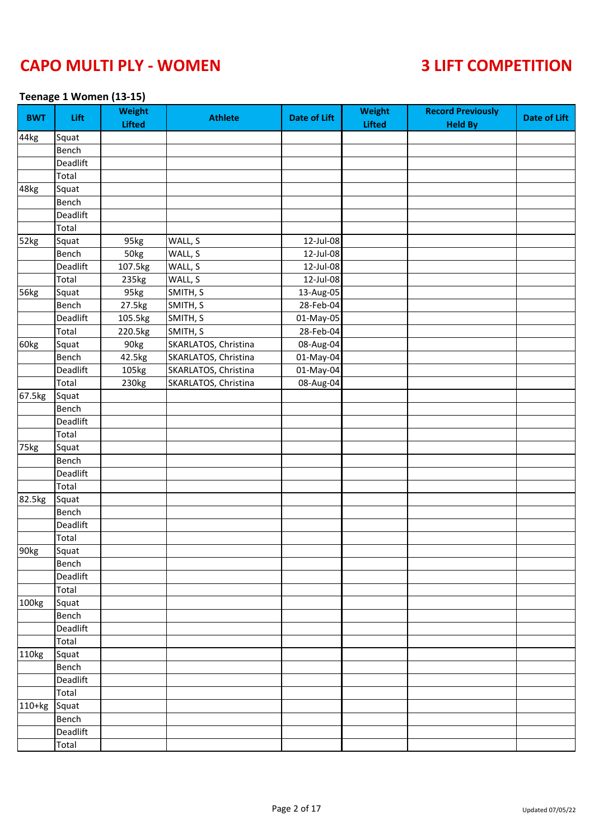### **Teenage 1 Women (13-15)**

| <b>BWT</b> | Lift     | <b>Weight</b><br><b>Lifted</b> | <b>Athlete</b>       | <b>Date of Lift</b> | <b>Weight</b><br><b>Lifted</b> | <b>Record Previously</b><br><b>Held By</b> | <b>Date of Lift</b> |
|------------|----------|--------------------------------|----------------------|---------------------|--------------------------------|--------------------------------------------|---------------------|
| 44kg       | Squat    |                                |                      |                     |                                |                                            |                     |
|            | Bench    |                                |                      |                     |                                |                                            |                     |
|            | Deadlift |                                |                      |                     |                                |                                            |                     |
|            | Total    |                                |                      |                     |                                |                                            |                     |
| 48kg       | Squat    |                                |                      |                     |                                |                                            |                     |
|            | Bench    |                                |                      |                     |                                |                                            |                     |
|            | Deadlift |                                |                      |                     |                                |                                            |                     |
|            | Total    |                                |                      |                     |                                |                                            |                     |
| 52kg       | Squat    | 95kg                           | WALL, S              | 12-Jul-08           |                                |                                            |                     |
|            | Bench    | 50kg                           | WALL, S              | 12-Jul-08           |                                |                                            |                     |
|            | Deadlift | 107.5kg                        | WALL, S              | 12-Jul-08           |                                |                                            |                     |
|            | Total    | 235kg                          | WALL, S              | 12-Jul-08           |                                |                                            |                     |
| 56kg       | Squat    | 95kg                           | SMITH, S             | 13-Aug-05           |                                |                                            |                     |
|            | Bench    | 27.5kg                         | SMITH, S             | 28-Feb-04           |                                |                                            |                     |
|            | Deadlift | 105.5kg                        | SMITH, S             | 01-May-05           |                                |                                            |                     |
|            | Total    | 220.5kg                        | SMITH, S             | 28-Feb-04           |                                |                                            |                     |
| 60kg       | Squat    | 90kg                           | SKARLATOS, Christina | 08-Aug-04           |                                |                                            |                     |
|            | Bench    | 42.5kg                         | SKARLATOS, Christina | 01-May-04           |                                |                                            |                     |
|            | Deadlift | 105kg                          | SKARLATOS, Christina | 01-May-04           |                                |                                            |                     |
|            | Total    | 230kg                          | SKARLATOS, Christina | 08-Aug-04           |                                |                                            |                     |
| 67.5kg     | Squat    |                                |                      |                     |                                |                                            |                     |
|            | Bench    |                                |                      |                     |                                |                                            |                     |
|            | Deadlift |                                |                      |                     |                                |                                            |                     |
|            | Total    |                                |                      |                     |                                |                                            |                     |
| 75kg       | Squat    |                                |                      |                     |                                |                                            |                     |
|            | Bench    |                                |                      |                     |                                |                                            |                     |
|            | Deadlift |                                |                      |                     |                                |                                            |                     |
|            | Total    |                                |                      |                     |                                |                                            |                     |
| 82.5kg     | Squat    |                                |                      |                     |                                |                                            |                     |
|            | Bench    |                                |                      |                     |                                |                                            |                     |
|            | Deadlift |                                |                      |                     |                                |                                            |                     |
|            | Total    |                                |                      |                     |                                |                                            |                     |
| 90kg       | Squat    |                                |                      |                     |                                |                                            |                     |
|            | Bench    |                                |                      |                     |                                |                                            |                     |
|            | Deadlift |                                |                      |                     |                                |                                            |                     |
|            | Total    |                                |                      |                     |                                |                                            |                     |
| 100kg      | Squat    |                                |                      |                     |                                |                                            |                     |
|            | Bench    |                                |                      |                     |                                |                                            |                     |
|            | Deadlift |                                |                      |                     |                                |                                            |                     |
|            | Total    |                                |                      |                     |                                |                                            |                     |
| 110kg      | Squat    |                                |                      |                     |                                |                                            |                     |
|            | Bench    |                                |                      |                     |                                |                                            |                     |
|            | Deadlift |                                |                      |                     |                                |                                            |                     |
|            | Total    |                                |                      |                     |                                |                                            |                     |
| 110+kg     | Squat    |                                |                      |                     |                                |                                            |                     |
|            | Bench    |                                |                      |                     |                                |                                            |                     |
|            | Deadlift |                                |                      |                     |                                |                                            |                     |
|            | Total    |                                |                      |                     |                                |                                            |                     |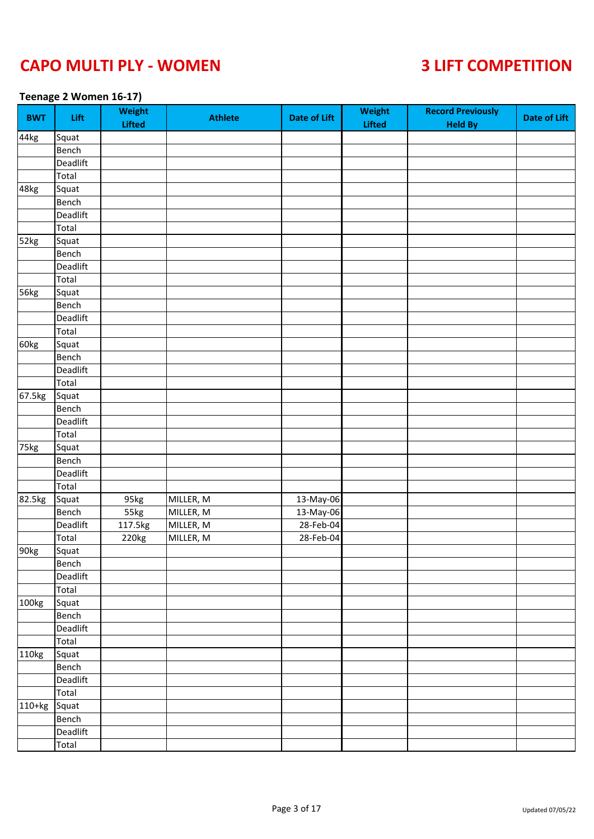### **Teenage 2 Women 16-17)**

| <b>BWT</b>        | Lift     | Weight<br><b>Lifted</b> | <b>Athlete</b> | <b>Date of Lift</b> | Weight<br><b>Lifted</b> | <b>Record Previously</b><br><b>Held By</b> | <b>Date of Lift</b> |
|-------------------|----------|-------------------------|----------------|---------------------|-------------------------|--------------------------------------------|---------------------|
| 44kg              | Squat    |                         |                |                     |                         |                                            |                     |
|                   | Bench    |                         |                |                     |                         |                                            |                     |
|                   | Deadlift |                         |                |                     |                         |                                            |                     |
|                   | Total    |                         |                |                     |                         |                                            |                     |
| 48kg              | Squat    |                         |                |                     |                         |                                            |                     |
|                   | Bench    |                         |                |                     |                         |                                            |                     |
|                   | Deadlift |                         |                |                     |                         |                                            |                     |
|                   | Total    |                         |                |                     |                         |                                            |                     |
| $\overline{52kg}$ | Squat    |                         |                |                     |                         |                                            |                     |
|                   | Bench    |                         |                |                     |                         |                                            |                     |
|                   | Deadlift |                         |                |                     |                         |                                            |                     |
|                   | Total    |                         |                |                     |                         |                                            |                     |
| 56kg              | Squat    |                         |                |                     |                         |                                            |                     |
|                   | Bench    |                         |                |                     |                         |                                            |                     |
|                   | Deadlift |                         |                |                     |                         |                                            |                     |
|                   | Total    |                         |                |                     |                         |                                            |                     |
| 60kg              | Squat    |                         |                |                     |                         |                                            |                     |
|                   | Bench    |                         |                |                     |                         |                                            |                     |
|                   | Deadlift |                         |                |                     |                         |                                            |                     |
|                   | Total    |                         |                |                     |                         |                                            |                     |
| 67.5kg            | Squat    |                         |                |                     |                         |                                            |                     |
|                   | Bench    |                         |                |                     |                         |                                            |                     |
|                   | Deadlift |                         |                |                     |                         |                                            |                     |
|                   | Total    |                         |                |                     |                         |                                            |                     |
| 75kg              | Squat    |                         |                |                     |                         |                                            |                     |
|                   | Bench    |                         |                |                     |                         |                                            |                     |
|                   | Deadlift |                         |                |                     |                         |                                            |                     |
|                   | Total    |                         |                |                     |                         |                                            |                     |
| 82.5kg            | Squat    | 95kg                    | MILLER, M      | 13-May-06           |                         |                                            |                     |
|                   | Bench    | 55kg                    | MILLER, M      | 13-May-06           |                         |                                            |                     |
|                   | Deadlift | 117.5kg                 | MILLER, M      | 28-Feb-04           |                         |                                            |                     |
|                   | Total    | 220kg                   | MILLER, M      | 28-Feb-04           |                         |                                            |                     |
| 90kg              | Squat    |                         |                |                     |                         |                                            |                     |
|                   | Bench    |                         |                |                     |                         |                                            |                     |
|                   | Deadlift |                         |                |                     |                         |                                            |                     |
|                   | Total    |                         |                |                     |                         |                                            |                     |
| 100kg             | Squat    |                         |                |                     |                         |                                            |                     |
|                   | Bench    |                         |                |                     |                         |                                            |                     |
|                   | Deadlift |                         |                |                     |                         |                                            |                     |
|                   | Total    |                         |                |                     |                         |                                            |                     |
| 110kg             | Squat    |                         |                |                     |                         |                                            |                     |
|                   | Bench    |                         |                |                     |                         |                                            |                     |
|                   | Deadlift |                         |                |                     |                         |                                            |                     |
|                   | Total    |                         |                |                     |                         |                                            |                     |
| 110+kg            | Squat    |                         |                |                     |                         |                                            |                     |
|                   | Bench    |                         |                |                     |                         |                                            |                     |
|                   | Deadlift |                         |                |                     |                         |                                            |                     |
|                   | Total    |                         |                |                     |                         |                                            |                     |
|                   |          |                         |                |                     |                         |                                            |                     |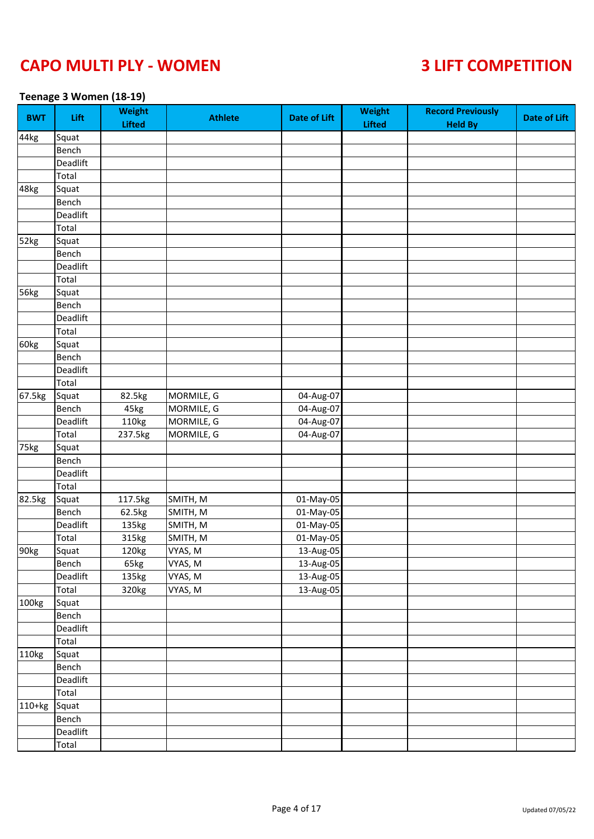### **Teenage 3 Women (18-19)**

| <b>BWT</b> | Lift     | <b>Weight</b><br><b>Lifted</b> | <b>Athlete</b> | <b>Date of Lift</b> | <b>Weight</b><br><b>Lifted</b> | <b>Record Previously</b><br><b>Held By</b> | <b>Date of Lift</b> |
|------------|----------|--------------------------------|----------------|---------------------|--------------------------------|--------------------------------------------|---------------------|
| 44kg       | Squat    |                                |                |                     |                                |                                            |                     |
|            | Bench    |                                |                |                     |                                |                                            |                     |
|            | Deadlift |                                |                |                     |                                |                                            |                     |
|            | Total    |                                |                |                     |                                |                                            |                     |
| 48kg       | Squat    |                                |                |                     |                                |                                            |                     |
|            | Bench    |                                |                |                     |                                |                                            |                     |
|            | Deadlift |                                |                |                     |                                |                                            |                     |
|            | Total    |                                |                |                     |                                |                                            |                     |
| 52kg       | Squat    |                                |                |                     |                                |                                            |                     |
|            | Bench    |                                |                |                     |                                |                                            |                     |
|            | Deadlift |                                |                |                     |                                |                                            |                     |
|            | Total    |                                |                |                     |                                |                                            |                     |
| 56kg       | Squat    |                                |                |                     |                                |                                            |                     |
|            | Bench    |                                |                |                     |                                |                                            |                     |
|            | Deadlift |                                |                |                     |                                |                                            |                     |
|            | Total    |                                |                |                     |                                |                                            |                     |
| 60kg       | Squat    |                                |                |                     |                                |                                            |                     |
|            | Bench    |                                |                |                     |                                |                                            |                     |
|            | Deadlift |                                |                |                     |                                |                                            |                     |
|            | Total    |                                |                |                     |                                |                                            |                     |
| 67.5kg     | Squat    | 82.5kg                         | MORMILE, G     | 04-Aug-07           |                                |                                            |                     |
|            | Bench    | 45kg                           | MORMILE, G     | 04-Aug-07           |                                |                                            |                     |
|            | Deadlift | 110kg                          | MORMILE, G     | 04-Aug-07           |                                |                                            |                     |
|            | Total    | 237.5kg                        | MORMILE, G     | 04-Aug-07           |                                |                                            |                     |
| 75kg       | Squat    |                                |                |                     |                                |                                            |                     |
|            | Bench    |                                |                |                     |                                |                                            |                     |
|            | Deadlift |                                |                |                     |                                |                                            |                     |
|            | Total    |                                |                |                     |                                |                                            |                     |
| 82.5kg     | Squat    | 117.5kg                        | SMITH, M       | 01-May-05           |                                |                                            |                     |
|            | Bench    | 62.5kg                         | SMITH, M       | 01-May-05           |                                |                                            |                     |
|            | Deadlift | 135kg                          | SMITH, M       | 01-May-05           |                                |                                            |                     |
|            | Total    | 315kg                          | SMITH, M       | 01-May-05           |                                |                                            |                     |
| 90kg       | Squat    | 120kg                          | VYAS, M        | 13-Aug-05           |                                |                                            |                     |
|            | Bench    | 65kg                           | VYAS, M        | 13-Aug-05           |                                |                                            |                     |
|            | Deadlift | 135kg                          | VYAS, M        | 13-Aug-05           |                                |                                            |                     |
|            | Total    | 320kg                          | VYAS, M        | 13-Aug-05           |                                |                                            |                     |
| 100kg      | Squat    |                                |                |                     |                                |                                            |                     |
|            | Bench    |                                |                |                     |                                |                                            |                     |
|            | Deadlift |                                |                |                     |                                |                                            |                     |
|            | Total    |                                |                |                     |                                |                                            |                     |
| 110kg      | Squat    |                                |                |                     |                                |                                            |                     |
|            | Bench    |                                |                |                     |                                |                                            |                     |
|            | Deadlift |                                |                |                     |                                |                                            |                     |
|            | Total    |                                |                |                     |                                |                                            |                     |
| 110+kg     | Squat    |                                |                |                     |                                |                                            |                     |
|            | Bench    |                                |                |                     |                                |                                            |                     |
|            | Deadlift |                                |                |                     |                                |                                            |                     |
|            | Total    |                                |                |                     |                                |                                            |                     |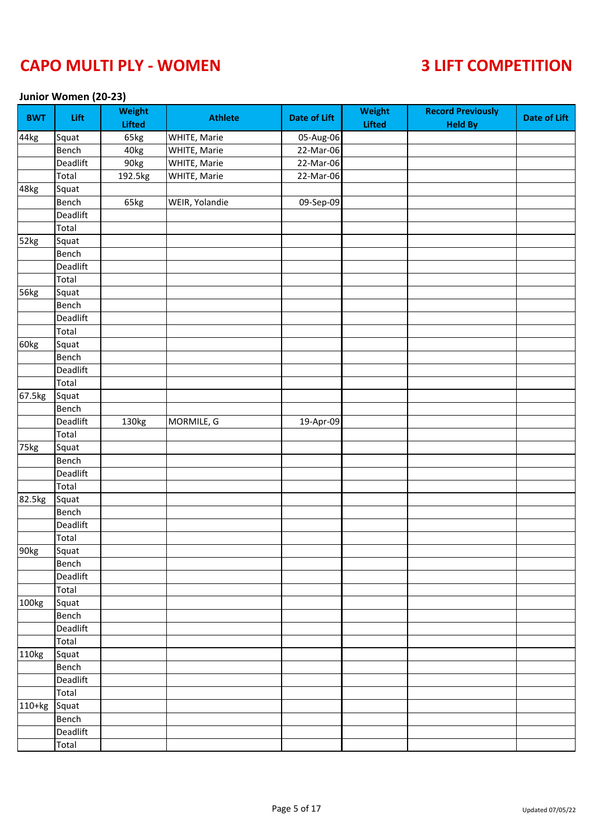### **Junior Women (20-23)**

| <b>BWT</b> | Lift     | <b>Weight</b><br><b>Lifted</b> | <b>Athlete</b> | <b>Date of Lift</b> | <b>Weight</b><br><b>Lifted</b> | <b>Record Previously</b><br><b>Held By</b> | <b>Date of Lift</b> |
|------------|----------|--------------------------------|----------------|---------------------|--------------------------------|--------------------------------------------|---------------------|
| 44kg       | Squat    | 65kg                           | WHITE, Marie   | 05-Aug-06           |                                |                                            |                     |
|            | Bench    | 40kg                           | WHITE, Marie   | 22-Mar-06           |                                |                                            |                     |
|            | Deadlift | 90kg                           | WHITE, Marie   | 22-Mar-06           |                                |                                            |                     |
|            | Total    | 192.5kg                        | WHITE, Marie   | 22-Mar-06           |                                |                                            |                     |
| 48kg       | Squat    |                                |                |                     |                                |                                            |                     |
|            | Bench    | 65kg                           | WEIR, Yolandie | 09-Sep-09           |                                |                                            |                     |
|            | Deadlift |                                |                |                     |                                |                                            |                     |
|            | Total    |                                |                |                     |                                |                                            |                     |
| 52kg       | Squat    |                                |                |                     |                                |                                            |                     |
|            | Bench    |                                |                |                     |                                |                                            |                     |
|            | Deadlift |                                |                |                     |                                |                                            |                     |
|            | Total    |                                |                |                     |                                |                                            |                     |
| 56kg       | Squat    |                                |                |                     |                                |                                            |                     |
|            | Bench    |                                |                |                     |                                |                                            |                     |
|            | Deadlift |                                |                |                     |                                |                                            |                     |
|            | Total    |                                |                |                     |                                |                                            |                     |
| 60kg       | Squat    |                                |                |                     |                                |                                            |                     |
|            | Bench    |                                |                |                     |                                |                                            |                     |
|            | Deadlift |                                |                |                     |                                |                                            |                     |
|            | Total    |                                |                |                     |                                |                                            |                     |
| 67.5kg     | Squat    |                                |                |                     |                                |                                            |                     |
|            | Bench    |                                |                |                     |                                |                                            |                     |
|            | Deadlift | 130kg                          | MORMILE, G     | 19-Apr-09           |                                |                                            |                     |
|            | Total    |                                |                |                     |                                |                                            |                     |
| 75kg       | Squat    |                                |                |                     |                                |                                            |                     |
|            | Bench    |                                |                |                     |                                |                                            |                     |
|            | Deadlift |                                |                |                     |                                |                                            |                     |
|            | Total    |                                |                |                     |                                |                                            |                     |
| 82.5kg     | Squat    |                                |                |                     |                                |                                            |                     |
|            | Bench    |                                |                |                     |                                |                                            |                     |
|            | Deadlift |                                |                |                     |                                |                                            |                     |
|            | Total    |                                |                |                     |                                |                                            |                     |
| 90kg       | Squat    |                                |                |                     |                                |                                            |                     |
|            | Bench    |                                |                |                     |                                |                                            |                     |
|            | Deadlift |                                |                |                     |                                |                                            |                     |
|            | Total    |                                |                |                     |                                |                                            |                     |
| 100kg      | Squat    |                                |                |                     |                                |                                            |                     |
|            | Bench    |                                |                |                     |                                |                                            |                     |
|            | Deadlift |                                |                |                     |                                |                                            |                     |
|            | Total    |                                |                |                     |                                |                                            |                     |
| 110kg      | Squat    |                                |                |                     |                                |                                            |                     |
|            | Bench    |                                |                |                     |                                |                                            |                     |
|            | Deadlift |                                |                |                     |                                |                                            |                     |
|            | Total    |                                |                |                     |                                |                                            |                     |
| 110+kg     | Squat    |                                |                |                     |                                |                                            |                     |
|            | Bench    |                                |                |                     |                                |                                            |                     |
|            | Deadlift |                                |                |                     |                                |                                            |                     |
|            | Total    |                                |                |                     |                                |                                            |                     |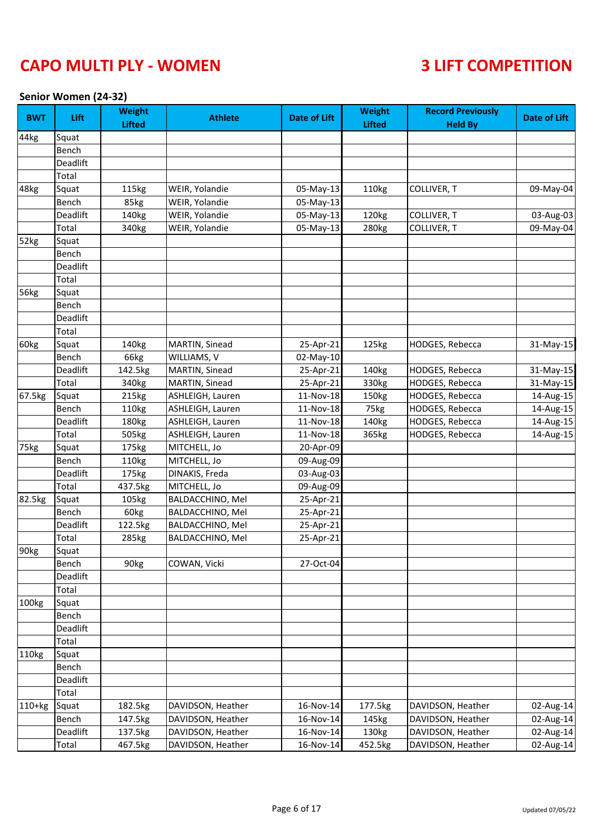### **Senior Women (24-32)**

| <b>BWT</b> | Lift     | <b>Weight</b><br><b>Lifted</b> | <b>Athlete</b>    | <b>Date of Lift</b> | <b>Weight</b><br><b>Lifted</b> | <b>Record Previously</b><br><b>Held By</b> | <b>Date of Lift</b> |
|------------|----------|--------------------------------|-------------------|---------------------|--------------------------------|--------------------------------------------|---------------------|
| 44kg       | Squat    |                                |                   |                     |                                |                                            |                     |
|            | Bench    |                                |                   |                     |                                |                                            |                     |
|            | Deadlift |                                |                   |                     |                                |                                            |                     |
|            | Total    |                                |                   |                     |                                |                                            |                     |
| 48kg       | Squat    | 115kg                          | WEIR, Yolandie    | 05-May-13           | 110kg                          | COLLIVER, T                                | 09-May-04           |
|            | Bench    | 85kg                           | WEIR, Yolandie    | 05-May-13           |                                |                                            |                     |
|            | Deadlift | 140kg                          | WEIR, Yolandie    | 05-May-13           | 120kg                          | COLLIVER, T                                | 03-Aug-03           |
|            | Total    | 340kg                          | WEIR, Yolandie    | 05-May-13           | 280kg                          | COLLIVER, T                                | 09-May-04           |
| 52kg       | Squat    |                                |                   |                     |                                |                                            |                     |
|            | Bench    |                                |                   |                     |                                |                                            |                     |
|            | Deadlift |                                |                   |                     |                                |                                            |                     |
|            | Total    |                                |                   |                     |                                |                                            |                     |
| 56kg       | Squat    |                                |                   |                     |                                |                                            |                     |
|            | Bench    |                                |                   |                     |                                |                                            |                     |
|            | Deadlift |                                |                   |                     |                                |                                            |                     |
|            | Total    |                                |                   |                     |                                |                                            |                     |
| 60kg       | Squat    | 140kg                          | MARTIN, Sinead    | 25-Apr-21           | 125kg                          | HODGES, Rebecca                            | 31-May-15           |
|            | Bench    | 66kg                           | WILLIAMS, V       | 02-May-10           |                                |                                            |                     |
|            | Deadlift | 142.5kg                        | MARTIN, Sinead    | 25-Apr-21           | 140kg                          | HODGES, Rebecca                            | 31-May-15           |
|            | Total    | 340 <sub>kg</sub>              | MARTIN, Sinead    | 25-Apr-21           | 330kg                          | HODGES, Rebecca                            | 31-May-15           |
| 67.5kg     | Squat    | 215kg                          | ASHLEIGH, Lauren  | 11-Nov-18           | 150kg                          | HODGES, Rebecca                            | 14-Aug-15           |
|            | Bench    | 110kg                          | ASHLEIGH, Lauren  | 11-Nov-18           | 75kg                           | HODGES, Rebecca                            | 14-Aug-15           |
|            | Deadlift | 180kg                          | ASHLEIGH, Lauren  | 11-Nov-18           | 140kg                          | HODGES, Rebecca                            | 14-Aug-15           |
|            | Total    | 505kg                          | ASHLEIGH, Lauren  | 11-Nov-18           | 365kg                          | HODGES, Rebecca                            | 14-Aug-15           |
| 75kg       | Squat    | 175kg                          | MITCHELL, Jo      | 20-Apr-09           |                                |                                            |                     |
|            | Bench    | 110kg                          | MITCHELL, Jo      | 09-Aug-09           |                                |                                            |                     |
|            | Deadlift | 175kg                          | DINAKIS, Freda    | 03-Aug-03           |                                |                                            |                     |
|            | Total    | 437.5kg                        | MITCHELL, Jo      | 09-Aug-09           |                                |                                            |                     |
| 82.5kg     | Squat    | 105kg                          | BALDACCHINO, Mel  | 25-Apr-21           |                                |                                            |                     |
|            | Bench    | 60kg                           | BALDACCHINO, Mel  | 25-Apr-21           |                                |                                            |                     |
|            | Deadlift | 122.5kg                        | BALDACCHINO, Mel  | 25-Apr-21           |                                |                                            |                     |
|            | Total    | 285kg                          | BALDACCHINO, Mel  | 25-Apr-21           |                                |                                            |                     |
| 90kg       | Squat    |                                |                   |                     |                                |                                            |                     |
|            | Bench    | 90kg                           | COWAN, Vicki      | 27-Oct-04           |                                |                                            |                     |
|            | Deadlift |                                |                   |                     |                                |                                            |                     |
|            | Total    |                                |                   |                     |                                |                                            |                     |
| 100kg      | Squat    |                                |                   |                     |                                |                                            |                     |
|            | Bench    |                                |                   |                     |                                |                                            |                     |
|            | Deadlift |                                |                   |                     |                                |                                            |                     |
|            | Total    |                                |                   |                     |                                |                                            |                     |
| 110kg      | Squat    |                                |                   |                     |                                |                                            |                     |
|            | Bench    |                                |                   |                     |                                |                                            |                     |
|            | Deadlift |                                |                   |                     |                                |                                            |                     |
|            | Total    |                                |                   |                     |                                |                                            |                     |
| $110+kg$   | Squat    | 182.5kg                        | DAVIDSON, Heather | 16-Nov-14           | 177.5kg                        | DAVIDSON, Heather                          | 02-Aug-14           |
|            | Bench    | 147.5kg                        | DAVIDSON, Heather | 16-Nov-14           | 145kg                          | DAVIDSON, Heather                          | 02-Aug-14           |
|            | Deadlift | 137.5kg                        | DAVIDSON, Heather | 16-Nov-14           | 130kg                          | DAVIDSON, Heather                          | 02-Aug-14           |
|            | Total    | 467.5kg                        | DAVIDSON, Heather | 16-Nov-14           | 452.5kg                        | DAVIDSON, Heather                          | 02-Aug-14           |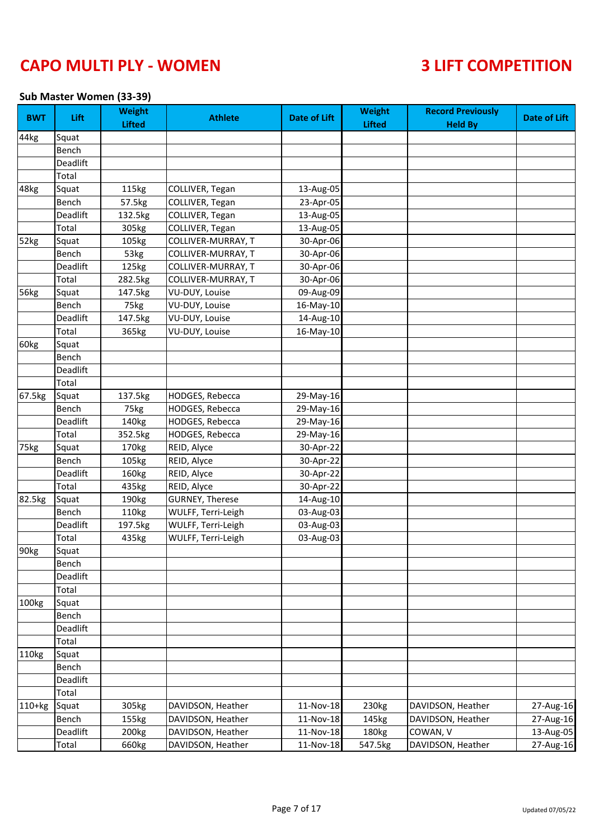### **Sub Master Women (33-39)**

| <b>BWT</b> | Lift            | <b>Weight</b><br><b>Lifted</b> | <b>Athlete</b>            | <b>Date of Lift</b> | <b>Weight</b><br><b>Lifted</b> | <b>Record Previously</b><br><b>Held By</b> | <b>Date of Lift</b> |
|------------|-----------------|--------------------------------|---------------------------|---------------------|--------------------------------|--------------------------------------------|---------------------|
| 44kg       | Squat           |                                |                           |                     |                                |                                            |                     |
|            | Bench           |                                |                           |                     |                                |                                            |                     |
|            | Deadlift        |                                |                           |                     |                                |                                            |                     |
|            | Total           |                                |                           |                     |                                |                                            |                     |
| 48kg       | Squat           | 115kg                          | COLLIVER, Tegan           | 13-Aug-05           |                                |                                            |                     |
|            | Bench           | 57.5kg                         | COLLIVER, Tegan           | 23-Apr-05           |                                |                                            |                     |
|            | <b>Deadlift</b> | 132.5kg                        | COLLIVER, Tegan           | 13-Aug-05           |                                |                                            |                     |
|            | Total           | 305kg                          | COLLIVER, Tegan           | 13-Aug-05           |                                |                                            |                     |
| 52kg       | Squat           | 105kg                          | COLLIVER-MURRAY, T        | 30-Apr-06           |                                |                                            |                     |
|            | Bench           | 53kg                           | COLLIVER-MURRAY, T        | 30-Apr-06           |                                |                                            |                     |
|            | Deadlift        | 125kg                          | <b>COLLIVER-MURRAY, T</b> | 30-Apr-06           |                                |                                            |                     |
|            | Total           | 282.5kg                        | COLLIVER-MURRAY, T        | 30-Apr-06           |                                |                                            |                     |
| 56kg       | Squat           | 147.5kg                        | VU-DUY, Louise            | 09-Aug-09           |                                |                                            |                     |
|            | Bench           | 75kg                           | <b>VU-DUY, Louise</b>     | 16-May-10           |                                |                                            |                     |
|            | Deadlift        | 147.5kg                        | VU-DUY, Louise            | 14-Aug-10           |                                |                                            |                     |
|            | Total           | 365kg                          | VU-DUY, Louise            | 16-May-10           |                                |                                            |                     |
| 60kg       | Squat           |                                |                           |                     |                                |                                            |                     |
|            | Bench           |                                |                           |                     |                                |                                            |                     |
|            | Deadlift        |                                |                           |                     |                                |                                            |                     |
|            | Total           |                                |                           |                     |                                |                                            |                     |
| 67.5kg     | Squat           | 137.5kg                        | HODGES, Rebecca           | 29-May-16           |                                |                                            |                     |
|            | Bench           | 75kg                           | HODGES, Rebecca           | 29-May-16           |                                |                                            |                     |
|            | Deadlift        | 140kg                          | HODGES, Rebecca           | 29-May-16           |                                |                                            |                     |
|            | Total           | 352.5kg                        | <b>HODGES, Rebecca</b>    | 29-May-16           |                                |                                            |                     |
| 75kg       | Squat           | 170kg                          | REID, Alyce               | 30-Apr-22           |                                |                                            |                     |
|            | Bench           | 105kg                          | REID, Alyce               | 30-Apr-22           |                                |                                            |                     |
|            | Deadlift        | 160kg                          | REID, Alyce               | 30-Apr-22           |                                |                                            |                     |
|            | Total           | 435kg                          | REID, Alyce               | 30-Apr-22           |                                |                                            |                     |
| 82.5kg     | Squat           | 190kg                          | <b>GURNEY, Therese</b>    | 14-Aug-10           |                                |                                            |                     |
|            | Bench           | 110kg                          | WULFF, Terri-Leigh        | 03-Aug-03           |                                |                                            |                     |
|            | Deadlift        | 197.5kg                        | WULFF, Terri-Leigh        | 03-Aug-03           |                                |                                            |                     |
|            | Total           | 435kg                          | WULFF, Terri-Leigh        | 03-Aug-03           |                                |                                            |                     |
| 90kg       | Squat           |                                |                           |                     |                                |                                            |                     |
|            | Bench           |                                |                           |                     |                                |                                            |                     |
|            | Deadlift        |                                |                           |                     |                                |                                            |                     |
|            | Total           |                                |                           |                     |                                |                                            |                     |
| 100kg      | Squat           |                                |                           |                     |                                |                                            |                     |
|            | Bench           |                                |                           |                     |                                |                                            |                     |
|            | Deadlift        |                                |                           |                     |                                |                                            |                     |
|            | Total           |                                |                           |                     |                                |                                            |                     |
| 110kg      | Squat           |                                |                           |                     |                                |                                            |                     |
|            | Bench           |                                |                           |                     |                                |                                            |                     |
|            | Deadlift        |                                |                           |                     |                                |                                            |                     |
|            | Total           |                                |                           |                     |                                |                                            |                     |
| 110+kg     | Squat           | 305kg                          | DAVIDSON, Heather         | 11-Nov-18           | 230kg                          | DAVIDSON, Heather                          | 27-Aug-16           |
|            | Bench           | 155kg                          | DAVIDSON, Heather         | 11-Nov-18           | 145kg                          | DAVIDSON, Heather                          | 27-Aug-16           |
|            | Deadlift        | 200 <sub>kg</sub>              | DAVIDSON, Heather         | 11-Nov-18           | 180kg                          | COWAN, V                                   | 13-Aug-05           |
|            | Total           | 660kg                          | DAVIDSON, Heather         | 11-Nov-18           | 547.5kg                        | DAVIDSON, Heather                          | 27-Aug-16           |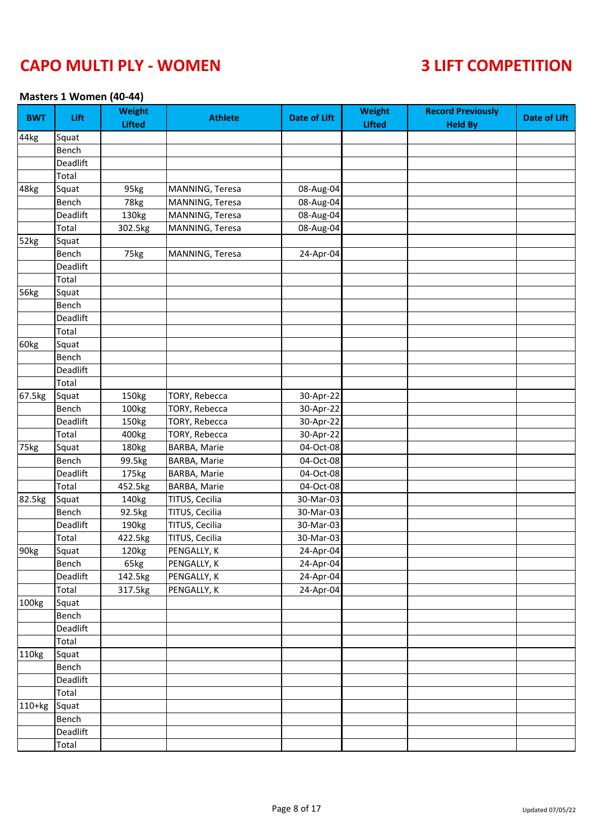### **Masters 1 Women (40-44)**

| <b>BWT</b> | Lift     | <b>Weight</b><br><b>Lifted</b> | <b>Athlete</b>      | <b>Date of Lift</b>     | <b>Weight</b><br><b>Lifted</b> | <b>Record Previously</b><br><b>Held By</b> | <b>Date of Lift</b> |
|------------|----------|--------------------------------|---------------------|-------------------------|--------------------------------|--------------------------------------------|---------------------|
| 44kg       | Squat    |                                |                     |                         |                                |                                            |                     |
|            | Bench    |                                |                     |                         |                                |                                            |                     |
|            | Deadlift |                                |                     |                         |                                |                                            |                     |
|            | Total    |                                |                     |                         |                                |                                            |                     |
| 48kg       | Squat    | 95kg                           | MANNING, Teresa     | 08-Aug-04               |                                |                                            |                     |
|            | Bench    | 78kg                           | MANNING, Teresa     | 08-Aug-04               |                                |                                            |                     |
|            | Deadlift | 130kg                          | MANNING, Teresa     | 08-Aug-04               |                                |                                            |                     |
|            | Total    | 302.5kg                        | MANNING, Teresa     | 08-Aug-04               |                                |                                            |                     |
| 52kg       | Squat    |                                |                     |                         |                                |                                            |                     |
|            | Bench    | 75kg                           | MANNING, Teresa     | 24-Apr-04               |                                |                                            |                     |
|            | Deadlift |                                |                     |                         |                                |                                            |                     |
|            | Total    |                                |                     |                         |                                |                                            |                     |
| 56kg       | Squat    |                                |                     |                         |                                |                                            |                     |
|            | Bench    |                                |                     |                         |                                |                                            |                     |
|            | Deadlift |                                |                     |                         |                                |                                            |                     |
|            | Total    |                                |                     |                         |                                |                                            |                     |
| 60kg       | Squat    |                                |                     |                         |                                |                                            |                     |
|            | Bench    |                                |                     |                         |                                |                                            |                     |
|            | Deadlift |                                |                     |                         |                                |                                            |                     |
|            | Total    |                                |                     |                         |                                |                                            |                     |
| 67.5kg     | Squat    | 150kg                          | TORY, Rebecca       | 30-Apr-22               |                                |                                            |                     |
|            | Bench    | 100kg                          | TORY, Rebecca       | 30-Apr-22               |                                |                                            |                     |
|            | Deadlift | 150kg                          | TORY, Rebecca       | 30-Apr-22               |                                |                                            |                     |
|            | Total    | 400kg                          | TORY, Rebecca       | 30-Apr-22               |                                |                                            |                     |
| 75kg       | Squat    | 180kg                          | <b>BARBA, Marie</b> | 04-Oct-08               |                                |                                            |                     |
|            | Bench    | 99.5kg                         | BARBA, Marie        | 04-Oct-08               |                                |                                            |                     |
|            | Deadlift | 175kg                          | BARBA, Marie        | 04-Oct-08               |                                |                                            |                     |
|            | Total    | 452.5kg                        | BARBA, Marie        | 04-Oct-08               |                                |                                            |                     |
| 82.5kg     | Squat    | 140kg                          | TITUS, Cecilia      | 30-Mar-03               |                                |                                            |                     |
|            | Bench    | 92.5kg                         | TITUS, Cecilia      | 30-Mar-03               |                                |                                            |                     |
|            | Deadlift | 190kg                          | TITUS, Cecilia      | 30-Mar-03               |                                |                                            |                     |
|            | Total    | 422.5kg                        | TITUS, Cecilia      | 30-Mar-03               |                                |                                            |                     |
| 90kg       | Squat    | 120kg                          | PENGALLY, K         | $\overline{24}$ -Apr-04 |                                |                                            |                     |
|            | Bench    | 65kg                           | PENGALLY, K         | 24-Apr-04               |                                |                                            |                     |
|            | Deadlift | 142.5kg                        | PENGALLY, K         | 24-Apr-04               |                                |                                            |                     |
|            | Total    | 317.5kg                        | PENGALLY, K         | 24-Apr-04               |                                |                                            |                     |
| 100kg      | Squat    |                                |                     |                         |                                |                                            |                     |
|            | Bench    |                                |                     |                         |                                |                                            |                     |
|            | Deadlift |                                |                     |                         |                                |                                            |                     |
|            | Total    |                                |                     |                         |                                |                                            |                     |
| 110kg      | Squat    |                                |                     |                         |                                |                                            |                     |
|            | Bench    |                                |                     |                         |                                |                                            |                     |
|            | Deadlift |                                |                     |                         |                                |                                            |                     |
|            | Total    |                                |                     |                         |                                |                                            |                     |
| $110+kg$   | Squat    |                                |                     |                         |                                |                                            |                     |
|            | Bench    |                                |                     |                         |                                |                                            |                     |
|            | Deadlift |                                |                     |                         |                                |                                            |                     |
|            | Total    |                                |                     |                         |                                |                                            |                     |
|            |          |                                |                     |                         |                                |                                            |                     |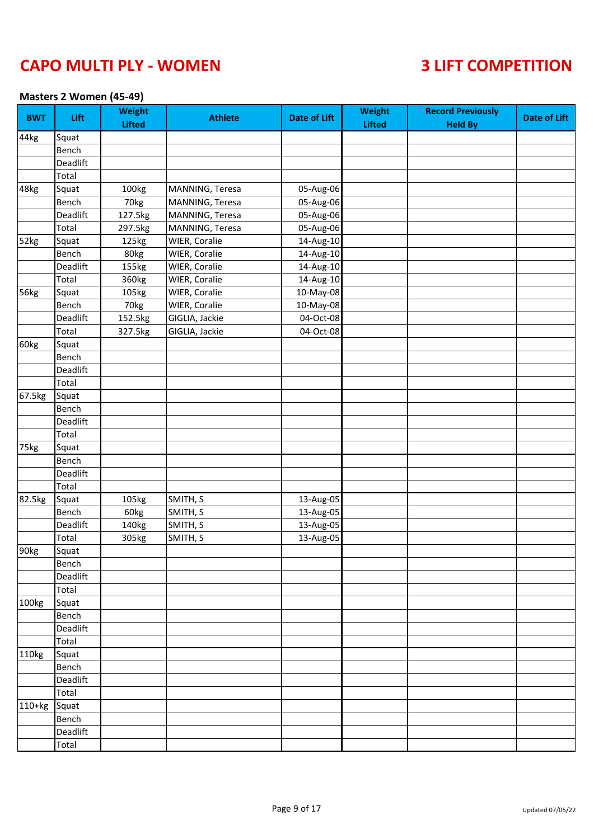### **Masters 2 Women (45-49)**

| <b>BWT</b> | Lift     | <b>Weight</b><br><b>Lifted</b> | <b>Athlete</b>  | <b>Date of Lift</b>     | <b>Weight</b><br><b>Lifted</b> | <b>Record Previously</b><br><b>Held By</b> | <b>Date of Lift</b> |
|------------|----------|--------------------------------|-----------------|-------------------------|--------------------------------|--------------------------------------------|---------------------|
| 44kg       | Squat    |                                |                 |                         |                                |                                            |                     |
|            | Bench    |                                |                 |                         |                                |                                            |                     |
|            | Deadlift |                                |                 |                         |                                |                                            |                     |
|            | Total    |                                |                 |                         |                                |                                            |                     |
| 48kg       | Squat    | 100kg                          | MANNING, Teresa | 05-Aug-06               |                                |                                            |                     |
|            | Bench    | 70kg                           | MANNING, Teresa | 05-Aug-06               |                                |                                            |                     |
|            | Deadlift | 127.5kg                        | MANNING, Teresa | 05-Aug-06               |                                |                                            |                     |
|            | Total    | 297.5kg                        | MANNING, Teresa | 05-Aug-06               |                                |                                            |                     |
| 52kg       | Squat    | 125kg                          | WIER, Coralie   | 14-Aug-10               |                                |                                            |                     |
|            | Bench    | 80kg                           | WIER, Coralie   | 14-Aug-10               |                                |                                            |                     |
|            | Deadlift | 155kg                          | WIER, Coralie   | 14-Aug-10               |                                |                                            |                     |
|            | Total    | 360kg                          | WIER, Coralie   | 14-Aug-10               |                                |                                            |                     |
| 56kg       | Squat    | 105kg                          | WIER, Coralie   | 10-May-08               |                                |                                            |                     |
|            | Bench    | 70kg                           | WIER, Coralie   | 10-May-08               |                                |                                            |                     |
|            | Deadlift | 152.5kg                        | GIGLIA, Jackie  | $\overline{0}$ 4-Oct-08 |                                |                                            |                     |
|            | Total    | 327.5kg                        | GIGLIA, Jackie  | 04-Oct-08               |                                |                                            |                     |
| 60kg       | Squat    |                                |                 |                         |                                |                                            |                     |
|            | Bench    |                                |                 |                         |                                |                                            |                     |
|            | Deadlift |                                |                 |                         |                                |                                            |                     |
|            | Total    |                                |                 |                         |                                |                                            |                     |
| 67.5kg     | Squat    |                                |                 |                         |                                |                                            |                     |
|            | Bench    |                                |                 |                         |                                |                                            |                     |
|            | Deadlift |                                |                 |                         |                                |                                            |                     |
|            | Total    |                                |                 |                         |                                |                                            |                     |
| 75kg       | Squat    |                                |                 |                         |                                |                                            |                     |
|            | Bench    |                                |                 |                         |                                |                                            |                     |
|            | Deadlift |                                |                 |                         |                                |                                            |                     |
|            | Total    |                                |                 |                         |                                |                                            |                     |
| 82.5kg     | Squat    | 105kg                          | SMITH, S        | 13-Aug-05               |                                |                                            |                     |
|            | Bench    | 60kg                           | SMITH, S        | $\overline{13}$ -Aug-05 |                                |                                            |                     |
|            | Deadlift | 140kg                          | SMITH, S        | 13-Aug-05               |                                |                                            |                     |
|            | Total    | 305kg                          | SMITH, S        | 13-Aug-05               |                                |                                            |                     |
| 90kg       | Squat    |                                |                 |                         |                                |                                            |                     |
|            | Bench    |                                |                 |                         |                                |                                            |                     |
|            | Deadlift |                                |                 |                         |                                |                                            |                     |
|            | Total    |                                |                 |                         |                                |                                            |                     |
| 100kg      | Squat    |                                |                 |                         |                                |                                            |                     |
|            | Bench    |                                |                 |                         |                                |                                            |                     |
|            | Deadlift |                                |                 |                         |                                |                                            |                     |
|            | Total    |                                |                 |                         |                                |                                            |                     |
| 110kg      | Squat    |                                |                 |                         |                                |                                            |                     |
|            | Bench    |                                |                 |                         |                                |                                            |                     |
|            | Deadlift |                                |                 |                         |                                |                                            |                     |
|            | Total    |                                |                 |                         |                                |                                            |                     |
| $110+kg$   | Squat    |                                |                 |                         |                                |                                            |                     |
|            | Bench    |                                |                 |                         |                                |                                            |                     |
|            | Deadlift |                                |                 |                         |                                |                                            |                     |
|            | Total    |                                |                 |                         |                                |                                            |                     |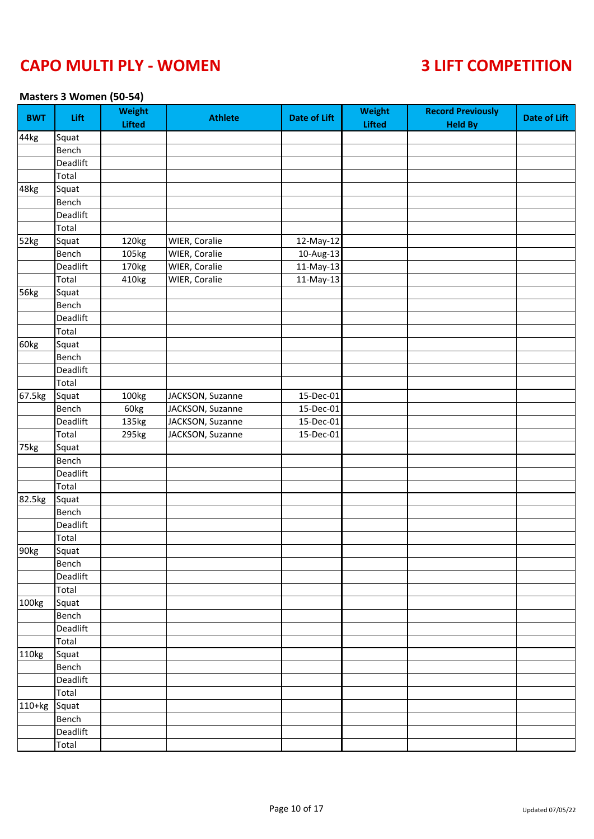### **Masters 3 Women (50-54)**

| <b>BWT</b> | Lift     | <b>Weight</b><br><b>Lifted</b> | <b>Athlete</b>   | <b>Date of Lift</b> | Weight<br><b>Lifted</b> | <b>Record Previously</b><br><b>Held By</b> | <b>Date of Lift</b> |
|------------|----------|--------------------------------|------------------|---------------------|-------------------------|--------------------------------------------|---------------------|
| 44kg       | Squat    |                                |                  |                     |                         |                                            |                     |
|            | Bench    |                                |                  |                     |                         |                                            |                     |
|            | Deadlift |                                |                  |                     |                         |                                            |                     |
|            | Total    |                                |                  |                     |                         |                                            |                     |
| 48kg       | Squat    |                                |                  |                     |                         |                                            |                     |
|            | Bench    |                                |                  |                     |                         |                                            |                     |
|            | Deadlift |                                |                  |                     |                         |                                            |                     |
|            | Total    |                                |                  |                     |                         |                                            |                     |
| 52kg       | Squat    | 120kg                          | WIER, Coralie    | 12-May-12           |                         |                                            |                     |
|            | Bench    | 105kg                          | WIER, Coralie    | 10-Aug-13           |                         |                                            |                     |
|            | Deadlift | 170kg                          | WIER, Coralie    | 11-May-13           |                         |                                            |                     |
|            | Total    | 410kg                          | WIER, Coralie    | $11-May-13$         |                         |                                            |                     |
| 56kg       | Squat    |                                |                  |                     |                         |                                            |                     |
|            | Bench    |                                |                  |                     |                         |                                            |                     |
|            | Deadlift |                                |                  |                     |                         |                                            |                     |
|            | Total    |                                |                  |                     |                         |                                            |                     |
| 60kg       | Squat    |                                |                  |                     |                         |                                            |                     |
|            | Bench    |                                |                  |                     |                         |                                            |                     |
|            | Deadlift |                                |                  |                     |                         |                                            |                     |
|            | Total    |                                |                  |                     |                         |                                            |                     |
| 67.5kg     | Squat    | 100kg                          | JACKSON, Suzanne | 15-Dec-01           |                         |                                            |                     |
|            | Bench    | 60kg                           | JACKSON, Suzanne | 15-Dec-01           |                         |                                            |                     |
|            | Deadlift | 135kg                          | JACKSON, Suzanne | 15-Dec-01           |                         |                                            |                     |
|            | Total    | 295kg                          | JACKSON, Suzanne | 15-Dec-01           |                         |                                            |                     |
| 75kg       | Squat    |                                |                  |                     |                         |                                            |                     |
|            | Bench    |                                |                  |                     |                         |                                            |                     |
|            | Deadlift |                                |                  |                     |                         |                                            |                     |
|            | Total    |                                |                  |                     |                         |                                            |                     |
| 82.5kg     | Squat    |                                |                  |                     |                         |                                            |                     |
|            | Bench    |                                |                  |                     |                         |                                            |                     |
|            |          |                                |                  |                     |                         |                                            |                     |
|            | Deadlift |                                |                  |                     |                         |                                            |                     |
|            | Total    |                                |                  |                     |                         |                                            |                     |
| 90kg       | Squat    |                                |                  |                     |                         |                                            |                     |
|            | Bench    |                                |                  |                     |                         |                                            |                     |
|            | Deadlift |                                |                  |                     |                         |                                            |                     |
|            | Total    |                                |                  |                     |                         |                                            |                     |
| 100kg      | Squat    |                                |                  |                     |                         |                                            |                     |
|            | Bench    |                                |                  |                     |                         |                                            |                     |
|            | Deadlift |                                |                  |                     |                         |                                            |                     |
|            | Total    |                                |                  |                     |                         |                                            |                     |
| 110kg      | Squat    |                                |                  |                     |                         |                                            |                     |
|            | Bench    |                                |                  |                     |                         |                                            |                     |
|            | Deadlift |                                |                  |                     |                         |                                            |                     |
|            | Total    |                                |                  |                     |                         |                                            |                     |
| 110+kg     | Squat    |                                |                  |                     |                         |                                            |                     |
|            | Bench    |                                |                  |                     |                         |                                            |                     |
|            | Deadlift |                                |                  |                     |                         |                                            |                     |
|            | Total    |                                |                  |                     |                         |                                            |                     |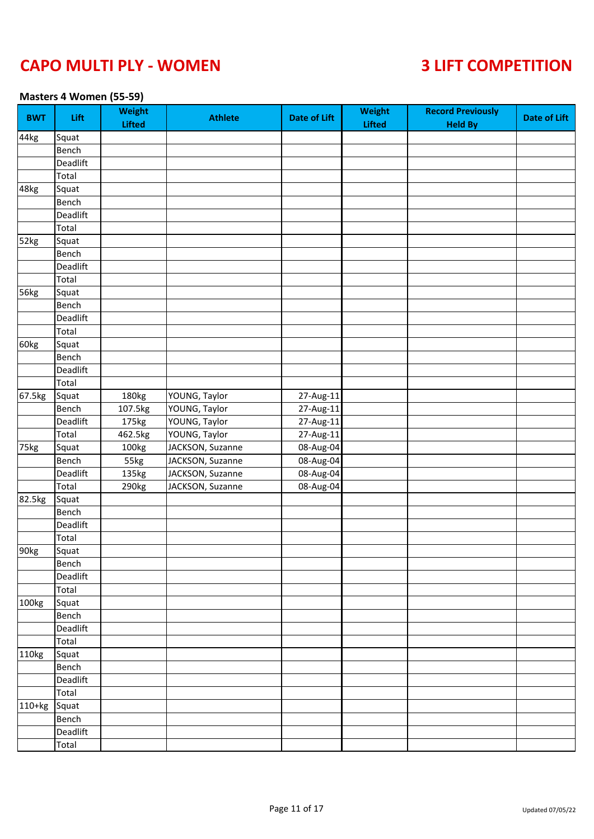### **Masters 4 Women (55-59)**

| 44kg<br>Squat<br>Bench<br>Deadlift<br>Total<br>48kg<br>Squat<br>Bench<br>Deadlift<br>Total<br>52kg<br>Squat<br>Bench<br>Deadlift<br>Total<br>Squat<br>Bench<br>Deadlift<br>Total<br>60kg<br>Squat<br>Bench<br>Deadlift<br>Total<br>67.5kg<br>Squat<br>180kg<br>YOUNG, Taylor<br>27-Aug-11<br>Bench<br>107.5kg<br>YOUNG, Taylor<br>27-Aug-11<br>Deadlift<br>YOUNG, Taylor<br>27-Aug-11<br>175kg<br>Total<br>YOUNG, Taylor<br>27-Aug-11<br>462.5kg<br>JACKSON, Suzanne<br>08-Aug-04<br>100kg<br>Squat<br>08-Aug-04<br>55kg<br>JACKSON, Suzanne<br>Bench<br>08-Aug-04<br>JACKSON, Suzanne<br>Deadlift<br>135kg<br>Total<br>JACKSON, Suzanne<br>08-Aug-04<br>290kg<br>82.5kg<br>Squat<br>Bench<br>Deadlift | <b>BWT</b> | Lift | <b>Weight</b><br><b>Lifted</b> | <b>Athlete</b> | <b>Date of Lift</b> | Weight<br><b>Lifted</b> | <b>Record Previously</b><br><b>Held By</b> | <b>Date of Lift</b> |
|--------------------------------------------------------------------------------------------------------------------------------------------------------------------------------------------------------------------------------------------------------------------------------------------------------------------------------------------------------------------------------------------------------------------------------------------------------------------------------------------------------------------------------------------------------------------------------------------------------------------------------------------------------------------------------------------------------|------------|------|--------------------------------|----------------|---------------------|-------------------------|--------------------------------------------|---------------------|
|                                                                                                                                                                                                                                                                                                                                                                                                                                                                                                                                                                                                                                                                                                        |            |      |                                |                |                     |                         |                                            |                     |
| 56kg<br>75kg                                                                                                                                                                                                                                                                                                                                                                                                                                                                                                                                                                                                                                                                                           |            |      |                                |                |                     |                         |                                            |                     |
|                                                                                                                                                                                                                                                                                                                                                                                                                                                                                                                                                                                                                                                                                                        |            |      |                                |                |                     |                         |                                            |                     |
|                                                                                                                                                                                                                                                                                                                                                                                                                                                                                                                                                                                                                                                                                                        |            |      |                                |                |                     |                         |                                            |                     |
|                                                                                                                                                                                                                                                                                                                                                                                                                                                                                                                                                                                                                                                                                                        |            |      |                                |                |                     |                         |                                            |                     |
|                                                                                                                                                                                                                                                                                                                                                                                                                                                                                                                                                                                                                                                                                                        |            |      |                                |                |                     |                         |                                            |                     |
|                                                                                                                                                                                                                                                                                                                                                                                                                                                                                                                                                                                                                                                                                                        |            |      |                                |                |                     |                         |                                            |                     |
|                                                                                                                                                                                                                                                                                                                                                                                                                                                                                                                                                                                                                                                                                                        |            |      |                                |                |                     |                         |                                            |                     |
|                                                                                                                                                                                                                                                                                                                                                                                                                                                                                                                                                                                                                                                                                                        |            |      |                                |                |                     |                         |                                            |                     |
|                                                                                                                                                                                                                                                                                                                                                                                                                                                                                                                                                                                                                                                                                                        |            |      |                                |                |                     |                         |                                            |                     |
|                                                                                                                                                                                                                                                                                                                                                                                                                                                                                                                                                                                                                                                                                                        |            |      |                                |                |                     |                         |                                            |                     |
|                                                                                                                                                                                                                                                                                                                                                                                                                                                                                                                                                                                                                                                                                                        |            |      |                                |                |                     |                         |                                            |                     |
|                                                                                                                                                                                                                                                                                                                                                                                                                                                                                                                                                                                                                                                                                                        |            |      |                                |                |                     |                         |                                            |                     |
|                                                                                                                                                                                                                                                                                                                                                                                                                                                                                                                                                                                                                                                                                                        |            |      |                                |                |                     |                         |                                            |                     |
|                                                                                                                                                                                                                                                                                                                                                                                                                                                                                                                                                                                                                                                                                                        |            |      |                                |                |                     |                         |                                            |                     |
|                                                                                                                                                                                                                                                                                                                                                                                                                                                                                                                                                                                                                                                                                                        |            |      |                                |                |                     |                         |                                            |                     |
|                                                                                                                                                                                                                                                                                                                                                                                                                                                                                                                                                                                                                                                                                                        |            |      |                                |                |                     |                         |                                            |                     |
|                                                                                                                                                                                                                                                                                                                                                                                                                                                                                                                                                                                                                                                                                                        |            |      |                                |                |                     |                         |                                            |                     |
|                                                                                                                                                                                                                                                                                                                                                                                                                                                                                                                                                                                                                                                                                                        |            |      |                                |                |                     |                         |                                            |                     |
|                                                                                                                                                                                                                                                                                                                                                                                                                                                                                                                                                                                                                                                                                                        |            |      |                                |                |                     |                         |                                            |                     |
|                                                                                                                                                                                                                                                                                                                                                                                                                                                                                                                                                                                                                                                                                                        |            |      |                                |                |                     |                         |                                            |                     |
|                                                                                                                                                                                                                                                                                                                                                                                                                                                                                                                                                                                                                                                                                                        |            |      |                                |                |                     |                         |                                            |                     |
|                                                                                                                                                                                                                                                                                                                                                                                                                                                                                                                                                                                                                                                                                                        |            |      |                                |                |                     |                         |                                            |                     |
|                                                                                                                                                                                                                                                                                                                                                                                                                                                                                                                                                                                                                                                                                                        |            |      |                                |                |                     |                         |                                            |                     |
|                                                                                                                                                                                                                                                                                                                                                                                                                                                                                                                                                                                                                                                                                                        |            |      |                                |                |                     |                         |                                            |                     |
|                                                                                                                                                                                                                                                                                                                                                                                                                                                                                                                                                                                                                                                                                                        |            |      |                                |                |                     |                         |                                            |                     |
|                                                                                                                                                                                                                                                                                                                                                                                                                                                                                                                                                                                                                                                                                                        |            |      |                                |                |                     |                         |                                            |                     |
|                                                                                                                                                                                                                                                                                                                                                                                                                                                                                                                                                                                                                                                                                                        |            |      |                                |                |                     |                         |                                            |                     |
|                                                                                                                                                                                                                                                                                                                                                                                                                                                                                                                                                                                                                                                                                                        |            |      |                                |                |                     |                         |                                            |                     |
|                                                                                                                                                                                                                                                                                                                                                                                                                                                                                                                                                                                                                                                                                                        |            |      |                                |                |                     |                         |                                            |                     |
|                                                                                                                                                                                                                                                                                                                                                                                                                                                                                                                                                                                                                                                                                                        |            |      |                                |                |                     |                         |                                            |                     |
| Total                                                                                                                                                                                                                                                                                                                                                                                                                                                                                                                                                                                                                                                                                                  |            |      |                                |                |                     |                         |                                            |                     |
| 90kg<br>Squat                                                                                                                                                                                                                                                                                                                                                                                                                                                                                                                                                                                                                                                                                          |            |      |                                |                |                     |                         |                                            |                     |
| Bench                                                                                                                                                                                                                                                                                                                                                                                                                                                                                                                                                                                                                                                                                                  |            |      |                                |                |                     |                         |                                            |                     |
| Deadlift                                                                                                                                                                                                                                                                                                                                                                                                                                                                                                                                                                                                                                                                                               |            |      |                                |                |                     |                         |                                            |                     |
| Total                                                                                                                                                                                                                                                                                                                                                                                                                                                                                                                                                                                                                                                                                                  |            |      |                                |                |                     |                         |                                            |                     |
| 100kg<br>Squat                                                                                                                                                                                                                                                                                                                                                                                                                                                                                                                                                                                                                                                                                         |            |      |                                |                |                     |                         |                                            |                     |
| Bench                                                                                                                                                                                                                                                                                                                                                                                                                                                                                                                                                                                                                                                                                                  |            |      |                                |                |                     |                         |                                            |                     |
| Deadlift                                                                                                                                                                                                                                                                                                                                                                                                                                                                                                                                                                                                                                                                                               |            |      |                                |                |                     |                         |                                            |                     |
| Total                                                                                                                                                                                                                                                                                                                                                                                                                                                                                                                                                                                                                                                                                                  |            |      |                                |                |                     |                         |                                            |                     |
| 110kg<br>Squat                                                                                                                                                                                                                                                                                                                                                                                                                                                                                                                                                                                                                                                                                         |            |      |                                |                |                     |                         |                                            |                     |
| Bench                                                                                                                                                                                                                                                                                                                                                                                                                                                                                                                                                                                                                                                                                                  |            |      |                                |                |                     |                         |                                            |                     |
| Deadlift                                                                                                                                                                                                                                                                                                                                                                                                                                                                                                                                                                                                                                                                                               |            |      |                                |                |                     |                         |                                            |                     |
| Total                                                                                                                                                                                                                                                                                                                                                                                                                                                                                                                                                                                                                                                                                                  |            |      |                                |                |                     |                         |                                            |                     |
| $110+kg$<br>Squat                                                                                                                                                                                                                                                                                                                                                                                                                                                                                                                                                                                                                                                                                      |            |      |                                |                |                     |                         |                                            |                     |
| Bench                                                                                                                                                                                                                                                                                                                                                                                                                                                                                                                                                                                                                                                                                                  |            |      |                                |                |                     |                         |                                            |                     |
| Deadlift                                                                                                                                                                                                                                                                                                                                                                                                                                                                                                                                                                                                                                                                                               |            |      |                                |                |                     |                         |                                            |                     |
| Total                                                                                                                                                                                                                                                                                                                                                                                                                                                                                                                                                                                                                                                                                                  |            |      |                                |                |                     |                         |                                            |                     |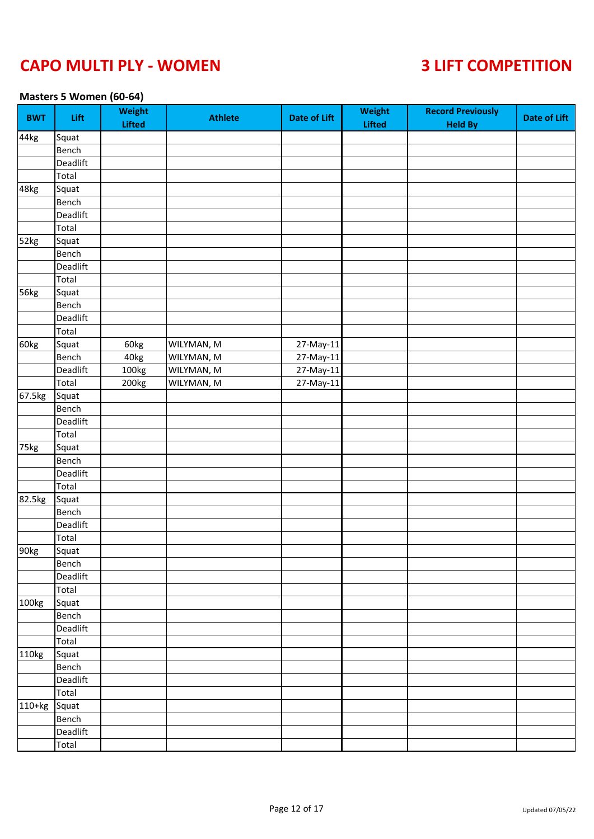### **Masters 5 Women (60-64)**

| BWT    | Lift     | Weight<br><b>Lifted</b> | <b>Athlete</b> | <b>Date of Lift</b> | Weight<br><b>Lifted</b> | <b>Record Previously</b><br><b>Held By</b> | <b>Date of Lift</b> |
|--------|----------|-------------------------|----------------|---------------------|-------------------------|--------------------------------------------|---------------------|
| 44kg   | Squat    |                         |                |                     |                         |                                            |                     |
|        | Bench    |                         |                |                     |                         |                                            |                     |
|        | Deadlift |                         |                |                     |                         |                                            |                     |
|        | Total    |                         |                |                     |                         |                                            |                     |
| 48kg   | Squat    |                         |                |                     |                         |                                            |                     |
|        | Bench    |                         |                |                     |                         |                                            |                     |
|        | Deadlift |                         |                |                     |                         |                                            |                     |
|        | Total    |                         |                |                     |                         |                                            |                     |
| 52kg   | Squat    |                         |                |                     |                         |                                            |                     |
|        | Bench    |                         |                |                     |                         |                                            |                     |
|        | Deadlift |                         |                |                     |                         |                                            |                     |
|        | Total    |                         |                |                     |                         |                                            |                     |
| 56kg   | Squat    |                         |                |                     |                         |                                            |                     |
|        | Bench    |                         |                |                     |                         |                                            |                     |
|        | Deadlift |                         |                |                     |                         |                                            |                     |
|        | Total    |                         |                |                     |                         |                                            |                     |
| 60kg   | Squat    | 60kg                    | WILYMAN, M     | 27-May-11           |                         |                                            |                     |
|        | Bench    | 40kg                    | WILYMAN, M     | 27-May-11           |                         |                                            |                     |
|        | Deadlift | 100kg                   | WILYMAN, M     | 27-May-11           |                         |                                            |                     |
|        | Total    | 200kg                   | WILYMAN, M     | 27-May-11           |                         |                                            |                     |
| 67.5kg | Squat    |                         |                |                     |                         |                                            |                     |
|        | Bench    |                         |                |                     |                         |                                            |                     |
|        | Deadlift |                         |                |                     |                         |                                            |                     |
|        | Total    |                         |                |                     |                         |                                            |                     |
| 75kg   | Squat    |                         |                |                     |                         |                                            |                     |
|        | Bench    |                         |                |                     |                         |                                            |                     |
|        | Deadlift |                         |                |                     |                         |                                            |                     |
|        | Total    |                         |                |                     |                         |                                            |                     |
| 82.5kg | Squat    |                         |                |                     |                         |                                            |                     |
|        | Bench    |                         |                |                     |                         |                                            |                     |
|        | Deadlift |                         |                |                     |                         |                                            |                     |
|        |          |                         |                |                     |                         |                                            |                     |
| 90kg   | Total    |                         |                |                     |                         |                                            |                     |
|        | Squat    |                         |                |                     |                         |                                            |                     |
|        | Bench    |                         |                |                     |                         |                                            |                     |
|        | Deadlift |                         |                |                     |                         |                                            |                     |
|        | Total    |                         |                |                     |                         |                                            |                     |
| 100kg  | Squat    |                         |                |                     |                         |                                            |                     |
|        | Bench    |                         |                |                     |                         |                                            |                     |
|        | Deadlift |                         |                |                     |                         |                                            |                     |
|        | Total    |                         |                |                     |                         |                                            |                     |
| 110kg  | Squat    |                         |                |                     |                         |                                            |                     |
|        | Bench    |                         |                |                     |                         |                                            |                     |
|        | Deadlift |                         |                |                     |                         |                                            |                     |
|        | Total    |                         |                |                     |                         |                                            |                     |
| 110+kg | Squat    |                         |                |                     |                         |                                            |                     |
|        | Bench    |                         |                |                     |                         |                                            |                     |
|        | Deadlift |                         |                |                     |                         |                                            |                     |
|        | Total    |                         |                |                     |                         |                                            |                     |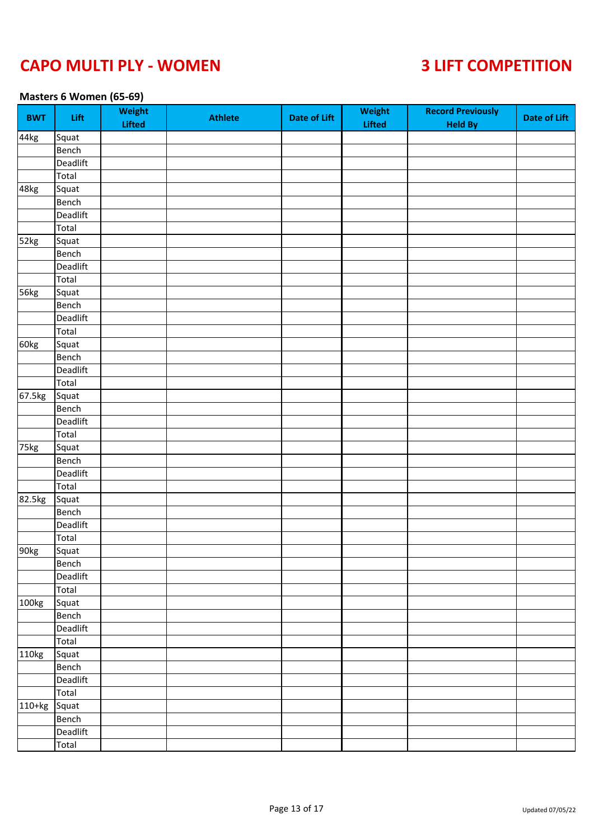### **Masters 6 Women (65-69)**

| 44kg<br>Squat<br>Bench<br>Deadlift<br>Total<br>48kg<br>Squat<br>Bench<br>Deadlift<br>Total<br>52kg<br>Squat<br>Bench<br>Deadlift<br>Total<br>56kg<br>Squat<br>Bench<br>Deadlift<br>Total<br>60kg<br>Squat<br>Bench<br>Deadlift<br>Total<br>67.5kg<br>Squat<br>Bench<br>Deadlift<br>Total<br>75kg<br>Squat<br>Bench<br>Deadlift<br>Total<br>82.5kg<br>Squat<br>Bench<br>Deadlift<br>Total<br>90kg<br>Squat<br>Bench<br>Deadlift<br>Total<br>100 <sub>kg</sub><br>Squat<br>Bench<br>Deadlift<br>Total<br>110kg<br>Squat<br>Bench | BWT      | Lift     | Weight<br><b>Lifted</b> | <b>Athlete</b> | <b>Date of Lift</b> | Weight<br><b>Lifted</b> | <b>Record Previously</b><br><b>Held By</b> | <b>Date of Lift</b> |
|--------------------------------------------------------------------------------------------------------------------------------------------------------------------------------------------------------------------------------------------------------------------------------------------------------------------------------------------------------------------------------------------------------------------------------------------------------------------------------------------------------------------------------|----------|----------|-------------------------|----------------|---------------------|-------------------------|--------------------------------------------|---------------------|
|                                                                                                                                                                                                                                                                                                                                                                                                                                                                                                                                |          |          |                         |                |                     |                         |                                            |                     |
|                                                                                                                                                                                                                                                                                                                                                                                                                                                                                                                                |          |          |                         |                |                     |                         |                                            |                     |
|                                                                                                                                                                                                                                                                                                                                                                                                                                                                                                                                |          |          |                         |                |                     |                         |                                            |                     |
|                                                                                                                                                                                                                                                                                                                                                                                                                                                                                                                                |          |          |                         |                |                     |                         |                                            |                     |
|                                                                                                                                                                                                                                                                                                                                                                                                                                                                                                                                |          |          |                         |                |                     |                         |                                            |                     |
|                                                                                                                                                                                                                                                                                                                                                                                                                                                                                                                                |          |          |                         |                |                     |                         |                                            |                     |
|                                                                                                                                                                                                                                                                                                                                                                                                                                                                                                                                |          |          |                         |                |                     |                         |                                            |                     |
|                                                                                                                                                                                                                                                                                                                                                                                                                                                                                                                                |          |          |                         |                |                     |                         |                                            |                     |
|                                                                                                                                                                                                                                                                                                                                                                                                                                                                                                                                |          |          |                         |                |                     |                         |                                            |                     |
|                                                                                                                                                                                                                                                                                                                                                                                                                                                                                                                                |          |          |                         |                |                     |                         |                                            |                     |
|                                                                                                                                                                                                                                                                                                                                                                                                                                                                                                                                |          |          |                         |                |                     |                         |                                            |                     |
|                                                                                                                                                                                                                                                                                                                                                                                                                                                                                                                                |          |          |                         |                |                     |                         |                                            |                     |
|                                                                                                                                                                                                                                                                                                                                                                                                                                                                                                                                |          |          |                         |                |                     |                         |                                            |                     |
|                                                                                                                                                                                                                                                                                                                                                                                                                                                                                                                                |          |          |                         |                |                     |                         |                                            |                     |
|                                                                                                                                                                                                                                                                                                                                                                                                                                                                                                                                |          |          |                         |                |                     |                         |                                            |                     |
|                                                                                                                                                                                                                                                                                                                                                                                                                                                                                                                                |          |          |                         |                |                     |                         |                                            |                     |
|                                                                                                                                                                                                                                                                                                                                                                                                                                                                                                                                |          |          |                         |                |                     |                         |                                            |                     |
|                                                                                                                                                                                                                                                                                                                                                                                                                                                                                                                                |          |          |                         |                |                     |                         |                                            |                     |
|                                                                                                                                                                                                                                                                                                                                                                                                                                                                                                                                |          |          |                         |                |                     |                         |                                            |                     |
|                                                                                                                                                                                                                                                                                                                                                                                                                                                                                                                                |          |          |                         |                |                     |                         |                                            |                     |
|                                                                                                                                                                                                                                                                                                                                                                                                                                                                                                                                |          |          |                         |                |                     |                         |                                            |                     |
|                                                                                                                                                                                                                                                                                                                                                                                                                                                                                                                                |          |          |                         |                |                     |                         |                                            |                     |
|                                                                                                                                                                                                                                                                                                                                                                                                                                                                                                                                |          |          |                         |                |                     |                         |                                            |                     |
|                                                                                                                                                                                                                                                                                                                                                                                                                                                                                                                                |          |          |                         |                |                     |                         |                                            |                     |
|                                                                                                                                                                                                                                                                                                                                                                                                                                                                                                                                |          |          |                         |                |                     |                         |                                            |                     |
|                                                                                                                                                                                                                                                                                                                                                                                                                                                                                                                                |          |          |                         |                |                     |                         |                                            |                     |
|                                                                                                                                                                                                                                                                                                                                                                                                                                                                                                                                |          |          |                         |                |                     |                         |                                            |                     |
|                                                                                                                                                                                                                                                                                                                                                                                                                                                                                                                                |          |          |                         |                |                     |                         |                                            |                     |
|                                                                                                                                                                                                                                                                                                                                                                                                                                                                                                                                |          |          |                         |                |                     |                         |                                            |                     |
|                                                                                                                                                                                                                                                                                                                                                                                                                                                                                                                                |          |          |                         |                |                     |                         |                                            |                     |
|                                                                                                                                                                                                                                                                                                                                                                                                                                                                                                                                |          |          |                         |                |                     |                         |                                            |                     |
|                                                                                                                                                                                                                                                                                                                                                                                                                                                                                                                                |          |          |                         |                |                     |                         |                                            |                     |
|                                                                                                                                                                                                                                                                                                                                                                                                                                                                                                                                |          |          |                         |                |                     |                         |                                            |                     |
|                                                                                                                                                                                                                                                                                                                                                                                                                                                                                                                                |          |          |                         |                |                     |                         |                                            |                     |
|                                                                                                                                                                                                                                                                                                                                                                                                                                                                                                                                |          |          |                         |                |                     |                         |                                            |                     |
|                                                                                                                                                                                                                                                                                                                                                                                                                                                                                                                                |          |          |                         |                |                     |                         |                                            |                     |
|                                                                                                                                                                                                                                                                                                                                                                                                                                                                                                                                |          |          |                         |                |                     |                         |                                            |                     |
|                                                                                                                                                                                                                                                                                                                                                                                                                                                                                                                                |          |          |                         |                |                     |                         |                                            |                     |
|                                                                                                                                                                                                                                                                                                                                                                                                                                                                                                                                |          |          |                         |                |                     |                         |                                            |                     |
|                                                                                                                                                                                                                                                                                                                                                                                                                                                                                                                                |          |          |                         |                |                     |                         |                                            |                     |
|                                                                                                                                                                                                                                                                                                                                                                                                                                                                                                                                |          |          |                         |                |                     |                         |                                            |                     |
|                                                                                                                                                                                                                                                                                                                                                                                                                                                                                                                                |          |          |                         |                |                     |                         |                                            |                     |
|                                                                                                                                                                                                                                                                                                                                                                                                                                                                                                                                |          | Deadlift |                         |                |                     |                         |                                            |                     |
| Total                                                                                                                                                                                                                                                                                                                                                                                                                                                                                                                          |          |          |                         |                |                     |                         |                                            |                     |
| Squat                                                                                                                                                                                                                                                                                                                                                                                                                                                                                                                          | $110+kg$ |          |                         |                |                     |                         |                                            |                     |
| Bench                                                                                                                                                                                                                                                                                                                                                                                                                                                                                                                          |          |          |                         |                |                     |                         |                                            |                     |
| Deadlift                                                                                                                                                                                                                                                                                                                                                                                                                                                                                                                       |          |          |                         |                |                     |                         |                                            |                     |
| Total                                                                                                                                                                                                                                                                                                                                                                                                                                                                                                                          |          |          |                         |                |                     |                         |                                            |                     |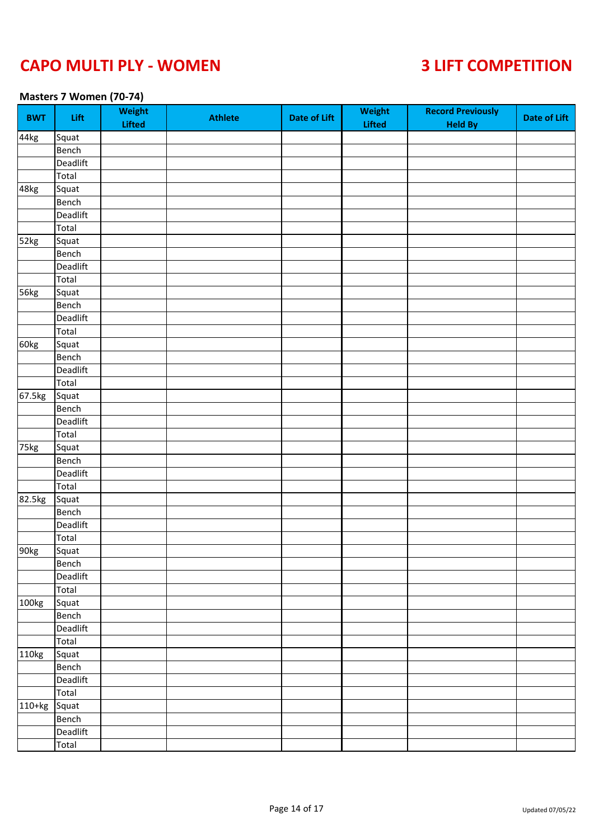### **Masters 7 Women (70-74)**

| 44kg<br>Squat<br>Bench<br>Deadlift<br>Total<br>48kg<br>Squat<br>Bench<br>Deadlift<br>Total<br>52kg<br>Squat<br>Bench<br>Deadlift<br>Total<br>56kg<br>Squat<br>Bench<br>Deadlift<br>Total<br>60kg<br>Squat<br>Bench<br>Deadlift<br>Total<br>67.5kg<br>Squat<br>Bench<br>Deadlift<br>Total<br>75kg<br>Squat<br>Bench<br>Deadlift<br>Total<br>82.5kg<br>Squat<br>Bench<br>Deadlift<br>Total<br>90kg<br>Squat<br>Bench<br>Deadlift<br>Total<br>100 <sub>kg</sub><br>Squat<br>Bench<br>Deadlift<br>Total<br>110kg<br>Squat<br>Bench | BWT      | Lift     | Weight<br><b>Lifted</b> | <b>Athlete</b> | <b>Date of Lift</b> | Weight<br><b>Lifted</b> | <b>Record Previously</b><br><b>Held By</b> | <b>Date of Lift</b> |
|--------------------------------------------------------------------------------------------------------------------------------------------------------------------------------------------------------------------------------------------------------------------------------------------------------------------------------------------------------------------------------------------------------------------------------------------------------------------------------------------------------------------------------|----------|----------|-------------------------|----------------|---------------------|-------------------------|--------------------------------------------|---------------------|
|                                                                                                                                                                                                                                                                                                                                                                                                                                                                                                                                |          |          |                         |                |                     |                         |                                            |                     |
|                                                                                                                                                                                                                                                                                                                                                                                                                                                                                                                                |          |          |                         |                |                     |                         |                                            |                     |
|                                                                                                                                                                                                                                                                                                                                                                                                                                                                                                                                |          |          |                         |                |                     |                         |                                            |                     |
|                                                                                                                                                                                                                                                                                                                                                                                                                                                                                                                                |          |          |                         |                |                     |                         |                                            |                     |
|                                                                                                                                                                                                                                                                                                                                                                                                                                                                                                                                |          |          |                         |                |                     |                         |                                            |                     |
|                                                                                                                                                                                                                                                                                                                                                                                                                                                                                                                                |          |          |                         |                |                     |                         |                                            |                     |
|                                                                                                                                                                                                                                                                                                                                                                                                                                                                                                                                |          |          |                         |                |                     |                         |                                            |                     |
|                                                                                                                                                                                                                                                                                                                                                                                                                                                                                                                                |          |          |                         |                |                     |                         |                                            |                     |
|                                                                                                                                                                                                                                                                                                                                                                                                                                                                                                                                |          |          |                         |                |                     |                         |                                            |                     |
|                                                                                                                                                                                                                                                                                                                                                                                                                                                                                                                                |          |          |                         |                |                     |                         |                                            |                     |
|                                                                                                                                                                                                                                                                                                                                                                                                                                                                                                                                |          |          |                         |                |                     |                         |                                            |                     |
|                                                                                                                                                                                                                                                                                                                                                                                                                                                                                                                                |          |          |                         |                |                     |                         |                                            |                     |
|                                                                                                                                                                                                                                                                                                                                                                                                                                                                                                                                |          |          |                         |                |                     |                         |                                            |                     |
|                                                                                                                                                                                                                                                                                                                                                                                                                                                                                                                                |          |          |                         |                |                     |                         |                                            |                     |
|                                                                                                                                                                                                                                                                                                                                                                                                                                                                                                                                |          |          |                         |                |                     |                         |                                            |                     |
|                                                                                                                                                                                                                                                                                                                                                                                                                                                                                                                                |          |          |                         |                |                     |                         |                                            |                     |
|                                                                                                                                                                                                                                                                                                                                                                                                                                                                                                                                |          |          |                         |                |                     |                         |                                            |                     |
|                                                                                                                                                                                                                                                                                                                                                                                                                                                                                                                                |          |          |                         |                |                     |                         |                                            |                     |
|                                                                                                                                                                                                                                                                                                                                                                                                                                                                                                                                |          |          |                         |                |                     |                         |                                            |                     |
|                                                                                                                                                                                                                                                                                                                                                                                                                                                                                                                                |          |          |                         |                |                     |                         |                                            |                     |
|                                                                                                                                                                                                                                                                                                                                                                                                                                                                                                                                |          |          |                         |                |                     |                         |                                            |                     |
|                                                                                                                                                                                                                                                                                                                                                                                                                                                                                                                                |          |          |                         |                |                     |                         |                                            |                     |
|                                                                                                                                                                                                                                                                                                                                                                                                                                                                                                                                |          |          |                         |                |                     |                         |                                            |                     |
|                                                                                                                                                                                                                                                                                                                                                                                                                                                                                                                                |          |          |                         |                |                     |                         |                                            |                     |
|                                                                                                                                                                                                                                                                                                                                                                                                                                                                                                                                |          |          |                         |                |                     |                         |                                            |                     |
|                                                                                                                                                                                                                                                                                                                                                                                                                                                                                                                                |          |          |                         |                |                     |                         |                                            |                     |
|                                                                                                                                                                                                                                                                                                                                                                                                                                                                                                                                |          |          |                         |                |                     |                         |                                            |                     |
|                                                                                                                                                                                                                                                                                                                                                                                                                                                                                                                                |          |          |                         |                |                     |                         |                                            |                     |
|                                                                                                                                                                                                                                                                                                                                                                                                                                                                                                                                |          |          |                         |                |                     |                         |                                            |                     |
|                                                                                                                                                                                                                                                                                                                                                                                                                                                                                                                                |          |          |                         |                |                     |                         |                                            |                     |
|                                                                                                                                                                                                                                                                                                                                                                                                                                                                                                                                |          |          |                         |                |                     |                         |                                            |                     |
|                                                                                                                                                                                                                                                                                                                                                                                                                                                                                                                                |          |          |                         |                |                     |                         |                                            |                     |
|                                                                                                                                                                                                                                                                                                                                                                                                                                                                                                                                |          |          |                         |                |                     |                         |                                            |                     |
|                                                                                                                                                                                                                                                                                                                                                                                                                                                                                                                                |          |          |                         |                |                     |                         |                                            |                     |
|                                                                                                                                                                                                                                                                                                                                                                                                                                                                                                                                |          |          |                         |                |                     |                         |                                            |                     |
|                                                                                                                                                                                                                                                                                                                                                                                                                                                                                                                                |          |          |                         |                |                     |                         |                                            |                     |
|                                                                                                                                                                                                                                                                                                                                                                                                                                                                                                                                |          |          |                         |                |                     |                         |                                            |                     |
|                                                                                                                                                                                                                                                                                                                                                                                                                                                                                                                                |          |          |                         |                |                     |                         |                                            |                     |
|                                                                                                                                                                                                                                                                                                                                                                                                                                                                                                                                |          |          |                         |                |                     |                         |                                            |                     |
|                                                                                                                                                                                                                                                                                                                                                                                                                                                                                                                                |          |          |                         |                |                     |                         |                                            |                     |
|                                                                                                                                                                                                                                                                                                                                                                                                                                                                                                                                |          |          |                         |                |                     |                         |                                            |                     |
|                                                                                                                                                                                                                                                                                                                                                                                                                                                                                                                                |          |          |                         |                |                     |                         |                                            |                     |
|                                                                                                                                                                                                                                                                                                                                                                                                                                                                                                                                |          | Deadlift |                         |                |                     |                         |                                            |                     |
| Total                                                                                                                                                                                                                                                                                                                                                                                                                                                                                                                          |          |          |                         |                |                     |                         |                                            |                     |
| Squat                                                                                                                                                                                                                                                                                                                                                                                                                                                                                                                          | $110+kg$ |          |                         |                |                     |                         |                                            |                     |
| Bench                                                                                                                                                                                                                                                                                                                                                                                                                                                                                                                          |          |          |                         |                |                     |                         |                                            |                     |
| Deadlift                                                                                                                                                                                                                                                                                                                                                                                                                                                                                                                       |          |          |                         |                |                     |                         |                                            |                     |
| Total                                                                                                                                                                                                                                                                                                                                                                                                                                                                                                                          |          |          |                         |                |                     |                         |                                            |                     |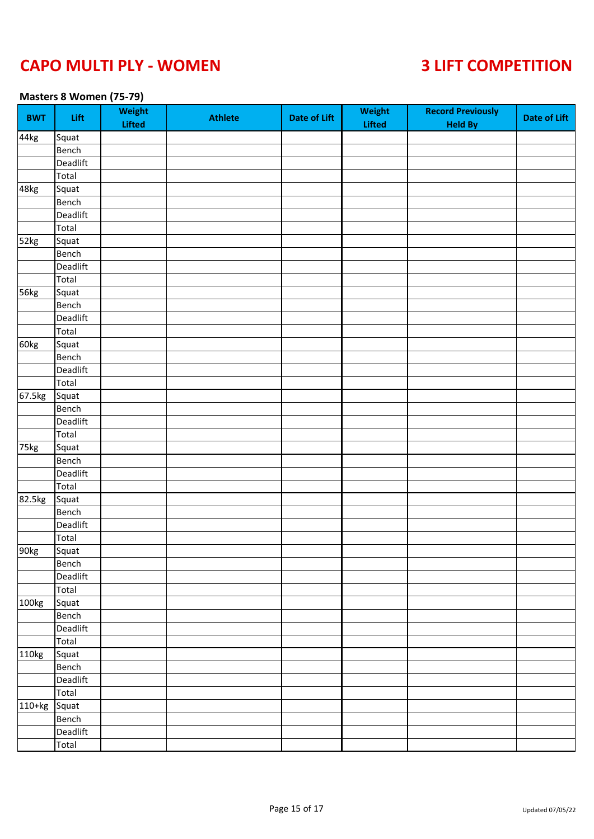### **Masters 8 Women (75-79)**

| BWT               | Lift     | Weight<br><b>Lifted</b> | <b>Athlete</b> | <b>Date of Lift</b> | Weight<br><b>Lifted</b> | <b>Record Previously</b><br><b>Held By</b> | <b>Date of Lift</b> |
|-------------------|----------|-------------------------|----------------|---------------------|-------------------------|--------------------------------------------|---------------------|
| 44kg              | Squat    |                         |                |                     |                         |                                            |                     |
|                   | Bench    |                         |                |                     |                         |                                            |                     |
|                   | Deadlift |                         |                |                     |                         |                                            |                     |
|                   | Total    |                         |                |                     |                         |                                            |                     |
| 48kg              | Squat    |                         |                |                     |                         |                                            |                     |
|                   | Bench    |                         |                |                     |                         |                                            |                     |
|                   | Deadlift |                         |                |                     |                         |                                            |                     |
|                   | Total    |                         |                |                     |                         |                                            |                     |
| 52kg              | Squat    |                         |                |                     |                         |                                            |                     |
|                   | Bench    |                         |                |                     |                         |                                            |                     |
|                   | Deadlift |                         |                |                     |                         |                                            |                     |
|                   | Total    |                         |                |                     |                         |                                            |                     |
| 56kg              | Squat    |                         |                |                     |                         |                                            |                     |
|                   | Bench    |                         |                |                     |                         |                                            |                     |
|                   | Deadlift |                         |                |                     |                         |                                            |                     |
|                   | Total    |                         |                |                     |                         |                                            |                     |
| 60kg              | Squat    |                         |                |                     |                         |                                            |                     |
|                   | Bench    |                         |                |                     |                         |                                            |                     |
|                   | Deadlift |                         |                |                     |                         |                                            |                     |
|                   | Total    |                         |                |                     |                         |                                            |                     |
| 67.5kg            | Squat    |                         |                |                     |                         |                                            |                     |
|                   | Bench    |                         |                |                     |                         |                                            |                     |
|                   | Deadlift |                         |                |                     |                         |                                            |                     |
|                   | Total    |                         |                |                     |                         |                                            |                     |
| 75kg              | Squat    |                         |                |                     |                         |                                            |                     |
|                   | Bench    |                         |                |                     |                         |                                            |                     |
|                   | Deadlift |                         |                |                     |                         |                                            |                     |
|                   | Total    |                         |                |                     |                         |                                            |                     |
| 82.5kg            | Squat    |                         |                |                     |                         |                                            |                     |
|                   | Bench    |                         |                |                     |                         |                                            |                     |
|                   | Deadlift |                         |                |                     |                         |                                            |                     |
|                   | Total    |                         |                |                     |                         |                                            |                     |
| 90kg              | Squat    |                         |                |                     |                         |                                            |                     |
|                   |          |                         |                |                     |                         |                                            |                     |
|                   | Bench    |                         |                |                     |                         |                                            |                     |
|                   | Deadlift |                         |                |                     |                         |                                            |                     |
|                   | Total    |                         |                |                     |                         |                                            |                     |
| 100 <sub>kg</sub> | Squat    |                         |                |                     |                         |                                            |                     |
|                   | Bench    |                         |                |                     |                         |                                            |                     |
|                   | Deadlift |                         |                |                     |                         |                                            |                     |
|                   | Total    |                         |                |                     |                         |                                            |                     |
| 110kg             | Squat    |                         |                |                     |                         |                                            |                     |
|                   | Bench    |                         |                |                     |                         |                                            |                     |
|                   | Deadlift |                         |                |                     |                         |                                            |                     |
|                   | Total    |                         |                |                     |                         |                                            |                     |
| $110+kg$          | Squat    |                         |                |                     |                         |                                            |                     |
|                   | Bench    |                         |                |                     |                         |                                            |                     |
|                   | Deadlift |                         |                |                     |                         |                                            |                     |
|                   | Total    |                         |                |                     |                         |                                            |                     |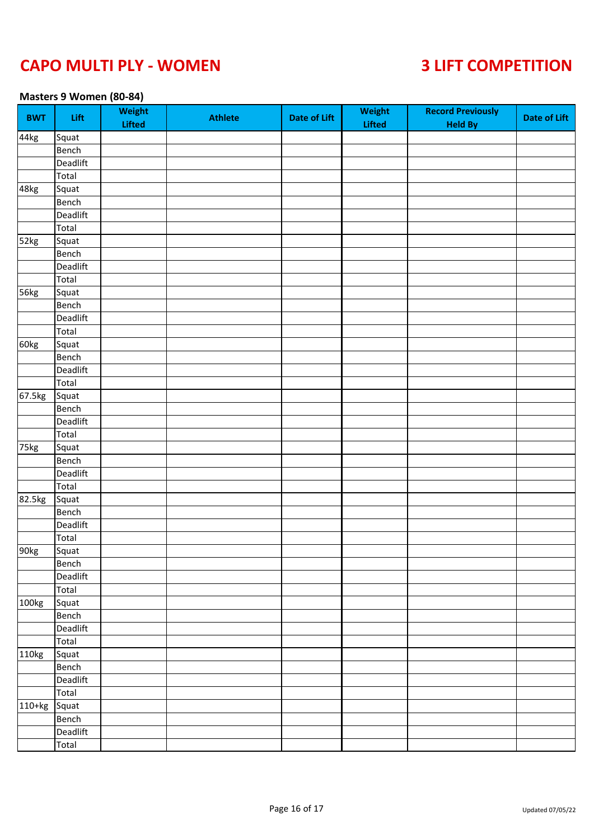### **Masters 9 Women (80-84)**

| BWT               | Lift     | Weight<br><b>Lifted</b> | <b>Athlete</b> | <b>Date of Lift</b> | Weight<br>Lifted | <b>Record Previously</b><br><b>Held By</b> | <b>Date of Lift</b> |
|-------------------|----------|-------------------------|----------------|---------------------|------------------|--------------------------------------------|---------------------|
| 44kg              | Squat    |                         |                |                     |                  |                                            |                     |
|                   | Bench    |                         |                |                     |                  |                                            |                     |
|                   | Deadlift |                         |                |                     |                  |                                            |                     |
|                   | Total    |                         |                |                     |                  |                                            |                     |
| 48kg              | Squat    |                         |                |                     |                  |                                            |                     |
|                   | Bench    |                         |                |                     |                  |                                            |                     |
|                   | Deadlift |                         |                |                     |                  |                                            |                     |
|                   | Total    |                         |                |                     |                  |                                            |                     |
| 52kg              | Squat    |                         |                |                     |                  |                                            |                     |
|                   | Bench    |                         |                |                     |                  |                                            |                     |
|                   | Deadlift |                         |                |                     |                  |                                            |                     |
|                   | Total    |                         |                |                     |                  |                                            |                     |
| 56kg              | Squat    |                         |                |                     |                  |                                            |                     |
|                   | Bench    |                         |                |                     |                  |                                            |                     |
|                   | Deadlift |                         |                |                     |                  |                                            |                     |
|                   | Total    |                         |                |                     |                  |                                            |                     |
| 60kg              | Squat    |                         |                |                     |                  |                                            |                     |
|                   | Bench    |                         |                |                     |                  |                                            |                     |
|                   | Deadlift |                         |                |                     |                  |                                            |                     |
|                   | Total    |                         |                |                     |                  |                                            |                     |
| 67.5kg            | Squat    |                         |                |                     |                  |                                            |                     |
|                   | Bench    |                         |                |                     |                  |                                            |                     |
|                   | Deadlift |                         |                |                     |                  |                                            |                     |
|                   | Total    |                         |                |                     |                  |                                            |                     |
| 75kg              | Squat    |                         |                |                     |                  |                                            |                     |
|                   | Bench    |                         |                |                     |                  |                                            |                     |
|                   | Deadlift |                         |                |                     |                  |                                            |                     |
|                   | Total    |                         |                |                     |                  |                                            |                     |
| 82.5kg            | Squat    |                         |                |                     |                  |                                            |                     |
|                   | Bench    |                         |                |                     |                  |                                            |                     |
|                   | Deadlift |                         |                |                     |                  |                                            |                     |
|                   | Total    |                         |                |                     |                  |                                            |                     |
| 90kg              | Squat    |                         |                |                     |                  |                                            |                     |
|                   |          |                         |                |                     |                  |                                            |                     |
|                   | Bench    |                         |                |                     |                  |                                            |                     |
|                   | Deadlift |                         |                |                     |                  |                                            |                     |
|                   | Total    |                         |                |                     |                  |                                            |                     |
| 100 <sub>kg</sub> | Squat    |                         |                |                     |                  |                                            |                     |
|                   | Bench    |                         |                |                     |                  |                                            |                     |
|                   | Deadlift |                         |                |                     |                  |                                            |                     |
|                   | Total    |                         |                |                     |                  |                                            |                     |
| 110kg             | Squat    |                         |                |                     |                  |                                            |                     |
|                   | Bench    |                         |                |                     |                  |                                            |                     |
|                   | Deadlift |                         |                |                     |                  |                                            |                     |
|                   | Total    |                         |                |                     |                  |                                            |                     |
| $110+kg$          | Squat    |                         |                |                     |                  |                                            |                     |
|                   | Bench    |                         |                |                     |                  |                                            |                     |
|                   | Deadlift |                         |                |                     |                  |                                            |                     |
|                   | Total    |                         |                |                     |                  |                                            |                     |